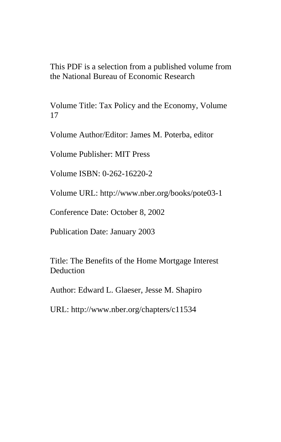This PDF is a selection from a published volume from the National Bureau of Economic Research

Volume Title: Tax Policy and the Economy, Volume 17

Volume Author/Editor: James M. Poterba, editor

Volume Publisher: MIT Press

Volume ISBN: 0-262-16220-2

Volume URL: http://www.nber.org/books/pote03-1

Conference Date: October 8, 2002

Publication Date: January 2003

Title: The Benefits of the Home Mortgage Interest **Deduction** 

Author: Edward L. Glaeser, Jesse M. Shapiro

URL: http://www.nber.org/chapters/c11534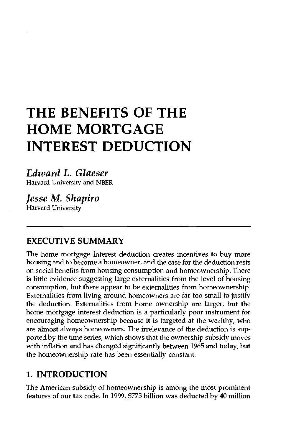# **THE BENEFITS OF THE HOME MORTGAGE INTEREST DEDUCTION**

## *Edward L. Glaeser*

Harvard University and NBER

*Jesse M. Shapiro* Harvard University

### **EXECUTIVE SUMMARY**

The home mortgage interest deduction creates incentives to buy more housing and to become a homeowner, and the case for the deduction rests on social benefits from housing consumption and homeownership. There is little evidence suggesting large externalities from the level of housing consumption, but there appear to be externalities from homeownership. Externalities from living around homeowners are far too small to justify the deduction. Externalities from home ownership are larger, but the home mortgage interest deduction is a particularly poor instrument for encouraging homeownership because it is targeted at the wealthy, who are almost always homeowners. The irrelevance of the deduction is supported by the time series, which shows that the ownership subsidy moves with inflation and has changed significantly between 1965 and today, but the homeownership rate has been essentially constant.

## **1. INTRODUCTION**

The American subsidy of homeownership is among the most prominent features of our tax code. In 1999, \$773 billion was deducted by 40 million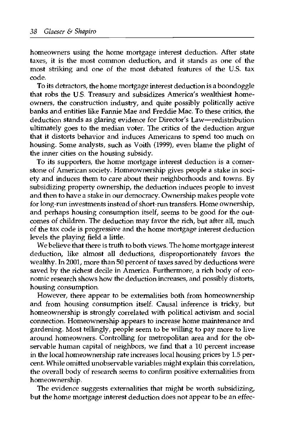homeowners using the home mortgage interest deduction. After state taxes, it is the most common deduction, and it stands as one of the most striking and one of the most debated features of the U.S. tax code.

To its detractors, the home mortgage interest deduction is a boondoggle that robs the U.S. Treasury and subsidizes America's wealthiest homeowners, the construction industry, and quite possibly politically active banks and entities like Fannie Mae and Freddie Mac. To these critics, the deduction stands as glaring evidence for Director's Law—redistribution ultimately goes to the median voter. The critics of the deduction argue that it distorts behavior and induces Americans to spend too much on housing. Some analysts, such as Voith (1999), even blame the plight of the inner cities on the housing subsidy.

To its supporters, the home mortgage interest deduction is a cornerstone of American society. Homeownership gives people a stake in society and induces them to care about their neighborhoods and towns. By subsidizing property ownership, the deduction induces people to invest and then to have a stake in our democracy. Ownership makes people vote for long-run investments instead of short-run transfers. Home ownership, and perhaps housing consumption itself, seems to be good for the outcomes of children. The deduction may favor the rich, but after all, much of the tax code is progressive and the home mortgage interest deduction levels the playing field a little.

We believe that there is truth to both views. The home mortgage interest deduction, like almost all deductions, disproportionately favors the wealthy. In 2001, more than 50 percent of taxes saved by deductions were saved by the richest decile in America. Furthermore, a rich body of economic research shows how the deduction increases, and possibly distorts, housing consumption.

However, there appear to be externalities both from homeownership and from housing consumption itself. Causal inference is tricky, but homeownership is strongly correlated with political activism and social connection. Homeownership appears to increase home maintenance and gardening. Most tellingly, people seem to be willing to pay more to live around homeowners. Controlling for metropolitan area and for the observable human capital of neighbors, we find that a 10 percent increase in the local homeownership rate increases local housing prices by 1.5 percent. While omitted unobservable variables might explain this correlation, the overall body of research seems to confirm positive externalities from homeownership.

The evidence suggests externalities that might be worth subsidizing, but the home mortgage interest deduction does not appear to be an effec-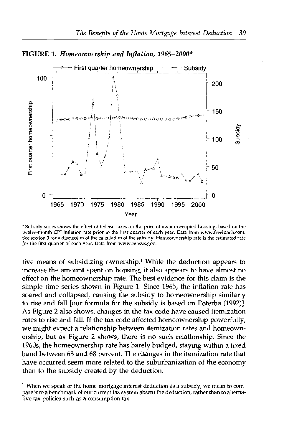

#### **FIGURE 1.** *Homeownership and Inflation, 1965-2000\**

\* Subsidy series shows the effect of federal taxes on the price of owner-occupied housing, based on the twelve-month CPI inflation rate prior to the first quarter of each year. Data from www.freelunch.com. See section 3 for a discussion of the calculation of the subsidy. Homeownership rate is the estimated rate for the first quarter of each year. Data from www.census.gov.

tive means of subsidizing ownership.<sup>1</sup> While the deduction appears to increase the amount spent on housing, it also appears to have almost no effect on the homeownership rate. The best evidence for this claim is the simple time series shown in Figure 1. Since 1965, the inflation rate has soared and collapsed, causing the subsidy to homeownership similarly to rise and fall [our formula for the subsidy is based on Poterba (1992)]. As Figure 2 also shows, changes in the tax code have caused itemization rates to rise and fall. If the tax code affected homeownership powerfully, we might expect a relationship between itemization rates and homeownership, but as Figure 2 shows, there is no such relationship. Since the 1960s, the homeownership rate has barely budged, staying within a fixed band between 63 and 68 percent. The changes in the itemization rate that have occurred seem more related to the suburbanization of the economy than to the subsidy created by the deduction.

<sup>&</sup>lt;sup>1</sup> When we speak of the home mortgage interest deduction as a subsidy, we mean to compare it to a benchmark of our current tax system absent the deduction, rather than to alternative tax policies such as a consumption tax.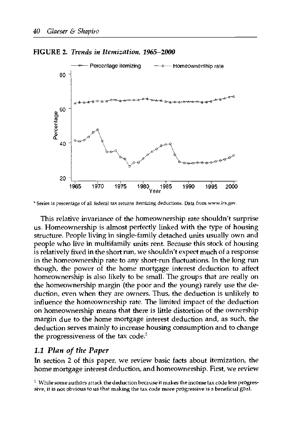

FIGURE 2. *Trends in Itemization, 1965-2000*

\* Series is percentage of all federal tax returns itemizing deductions. Data from www.irs.gov.

This relative invariance of the homeownership rate shouldn't surprise us. Homeownership is almost perfectly linked with the type of housing structure. People living in single-family detached units usually own and people who live in multifamily units rent. Because this stock of housing is relatively fixed in the short run, we shouldn't expect much of a response in the homeownership rate to any short-run fluctuations. In the long run though, the power of the home mortgage interest deduction to affect homeownership is also likely to be small. The groups that are really on the homeownership margin (the poor and the young) rarely use the deduction, even when they are owners. Thus, the deduction is unlikely to influence the homeownership rate. The limited impact of the deduction on homeownership means that there is little distortion of the ownership margin due to the home mortgage interest deduction and, as such, the deduction serves mainly to increase housing consumption and to change the progressiveness of the tax code. $2$ 

#### *1.1 Plan of the Paper*

In section 2 of this paper, we review basic facts about itemization, the home mortgage interest deduction, and homeownership. First, we review

<sup>2</sup> While some authors attack the deduction because it makes the income tax code less progressive, it is not obvious to us that making the tax code more progressive is a beneficial goal.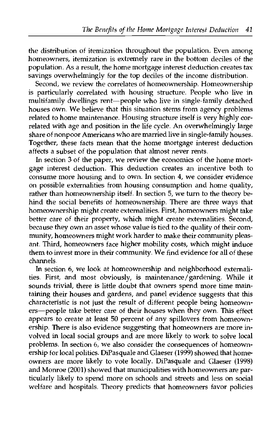the distribution of itemization throughout the population. Even among homeowners, itemization is extremely rare in the bottom deciles of the population. As a result, the home mortgage interest deduction creates tax savings overwhelmingly for the top deciles of the income distribution.

Second, we review the correlates of homeownership. Homeownership is particularly correlated with housing structure. People who live in multifamily dwellings rent—people who live in single-family detached houses own. We believe that this situation stems from agency problems related to home maintenance. Housing structure itself is very highly correlated with age and position in the life cycle. An overwhelmingly large share of nonpoor Americans who are married live in single-family houses. Together, these facts mean that the home mortgage interest deduction affects a subset of the population that almost never rents.

In section 3 of the paper, we review the economics of the home mortgage interest deduction. This deduction creates an incentive both to consume more housing and to own. In section 4, we consider evidence on possible externalities from housing consumption and home quality, rather than homeownership itself. In section 5, we turn to the theory behind the social benefits of homeownership. There are three ways that homeownership might create externalities. First, homeowners might take better care of their property, which might create externalities. Second, because they own an asset whose value is tied to the quality of their community, homeowners might work harder to make their community pleasant. Third, homeowners face higher mobility costs, which might induce them to invest more in their community. We find evidence for all of these channels.

In section 6, we look at homeownership and neighborhood externalities. First, and most obviously, is maintenance/gardening. While it sounds trivial, there is little doubt that owners spend more time maintaining their houses and gardens, and panel evidence suggests that this characteristic is not just the result of different people being homeowners—people take better care of their houses when they own. This effect appears to create at least 50 percent of any spillovers from homeownership. There is also evidence suggesting that homeowners are more involved in local social groups and are more likely to work to solve local problems. In section 6, we also consider the consequences of homeownership for local politics. DiPasquale and Glaeser (1999) showed that homeowners are more likely to vote locally. DiPasquale and Glaeser (1998) and Monroe (2001) showed that municipalities with homeowners are particularly likely to spend more on schools and streets and less on social welfare and hospitals. Theory predicts that homeowners favor policies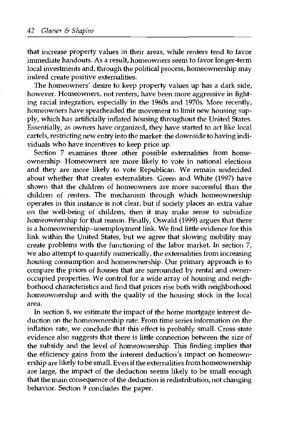that increase property values in their areas, while renters tend to favor immediate handouts. As a result, homeowners seem to favor longer-term local investments and, through the political process, homeownership may indeed create positive externalities.

The homeowners' desire to keep property values up has a dark side, however. Homeowners, not renters, have been more aggressive in fighting racial integration, especially in the 1960s and 1970s. More recently, homeowners have spearheaded the movement to limit new housing supply, which has artificially inflated housing throughout the United States. Essentially, as owners have organized, they have started to act like local cartels, restricting new entry into the market: the downside to having individuals who have incentives to keep price up.

Section 7 examines three other possible externalities from homeownership. Homeowners are more likely to vote in national elections and they are more likely to vote Republican. We remain undecided about whether that creates externalities. Green and White (1997) have shown that the children of homeowners are more successful than the children of renters. The mechanism through which homeownership operates in this instance is not clear, but if society places an extra value on the well-being of children, then it may make sense to subsidize homeownership for that reason. Finally, Oswald (1999) argues that there is a homeownership-unemployment link. We find little evidence for this link within the United States, but we agree that slowing mobility may create problems with the functioning of the labor market. In section  $\tilde{7}$ , we also attempt to quantify numerically, the externalities from increasing housing consumption and homeownership. Our primary approach is to compare the prices of houses that are surrounded by rental and owneroccupied properties. We control for a wide array of housing and neighborhood characteristics and find that prices rise both with neighborhood homeownership and with the quality of the housing stock in the local area.

In section 8, we estimate the impact of the home mortgage interest deduction on the homeownership rate. From time series information on the inflation rate, we conclude that this effect is probably small. Cross-state evidence also suggests that there is little connection between the size of the subsidy and the level of homeownership. This finding implies that the efficiency gains from the interest deduction's impact on homeownership are likely to be small. Even if the externalities from homeownership are large, the impact of the deduction seems likely to be small enough that the main consequence of the deduction is redistribution, not changing behavior. Section 9 concludes the paper.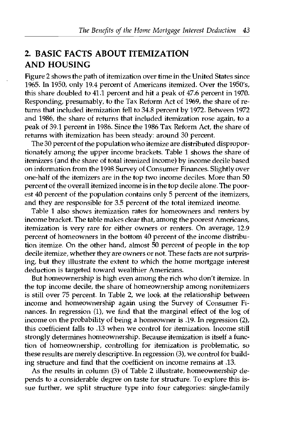## **2. BASIC FACTS ABOUT ITEMIZATION AND HOUSING**

Figure 2 shows the path of itemization over time in the United States since 1965. In 1950, only 19.4 percent of Americans itemized. Over the 1950's, this share doubled to 41.1 percent and hit a peak of 47.6 percent in 1970. Responding, presumably, to the Tax Reform Act of 1969, the share of returns that included itemization fell to 34.8 percent by 1972. Between 1972 and 1986, the share of returns that included itemization rose again, to a peak of 39.1 percent in 1986. Since the 1986 Tax Reform Act, the share of returns with itemization has been steady: around 30 percent.

The 30 percent of the population who itemize are distributed disproportionately among the upper income brackets. Table 1 shows the share of itemizers (and the share of total itemized income) by income decile based on information from the 1998 Survey of Consumer Finances. Slightly over one-half of the itemizers are in the top two income deciles. More than 50 percent of the overall itemized income is in the top decile alone. The poorest 40 percent of the population contains only 5 percent of the itemizers, and they are responsible for 3.5 percent of the total itemized income.

Table 1 also shows itemization rates for homeowners and renters by income bracket. The table makes clear that, among the poorest Americans, itemization is very rare for either owners or renters. On average, 12.9 percent of homeowners in the bottom 40 percent of the income distribution itemize. On the other hand, almost 50 percent of people in the top decile itemize, whether they are owners or not. These facts are not surprising, but they illustrate the extent to which the home mortgage interest deduction is targeted toward wealthier Americans.

But homeownership is high even among the rich who don't itemize. In the top income decile, the share of homeownership among nonitemizers is still over 75 percent. In Table 2, we look at the relationship between income and homeownership again using the Survey of Consumer Finances. In regression (1), we find that the marginal effect of the log of income on the probability of being a homeowner is .19. In regression (2), this coefficient falls to .13 when we control for itemization. Income still strongly determines homeownership. Because itemization is itself a function of homeownership, controlling for itemization is problematic, so these results are merely descriptive. In regression (3), we control for building structure and find that the coefficient on income remains at .13.

As the results in column (3) of Table 2 illustrate, homeownership depends to a considerable degree on taste for structure. To explore this issue further, we split structure type into four categories: single-family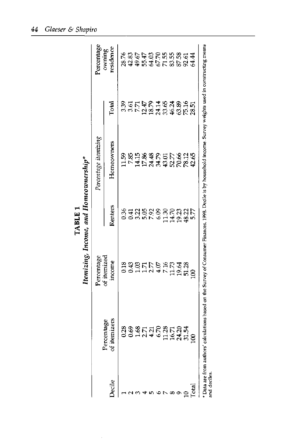|               |                            | Percentage                             |         | Percentage itemizing            |                                                                        | Percentage                 |
|---------------|----------------------------|----------------------------------------|---------|---------------------------------|------------------------------------------------------------------------|----------------------------|
| Jecile        | Percentage<br>of itemizers | of itemized<br>income                  | Renters | Homeowners                      | Total                                                                  | owning<br>residence        |
|               |                            |                                        |         |                                 |                                                                        |                            |
|               | asserungaraa<br>oodaasaraa | 888FFF88F88<br>898FFF8FF88<br>889FF8FF |         | ns<br>Erserenter<br>Erstättenka | e dructure de la<br>signe de la de la de la<br>signe de la de la de la | KS&FFERERRE<br>RS&FFERERRE |
|               |                            |                                        |         |                                 |                                                                        |                            |
|               |                            |                                        |         |                                 |                                                                        |                            |
|               |                            |                                        |         |                                 |                                                                        |                            |
|               |                            |                                        |         |                                 |                                                                        |                            |
|               |                            |                                        |         |                                 |                                                                        |                            |
|               |                            |                                        |         |                                 |                                                                        |                            |
|               |                            |                                        |         |                                 |                                                                        |                            |
| $\frac{1}{2}$ |                            |                                        |         |                                 |                                                                        |                            |
| Total         |                            |                                        |         |                                 |                                                                        |                            |

 $\frac{1}{2}$ 

*44 Glaeser & Shapiro*

**w PQ**

 $\epsilon$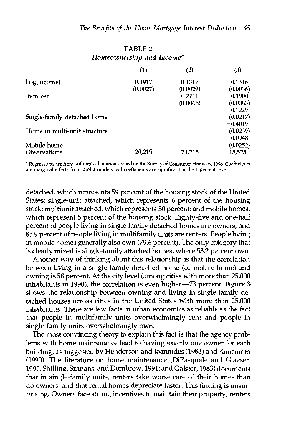|                              | (1)                | (2)                | (3)                   |
|------------------------------|--------------------|--------------------|-----------------------|
| Log(income)                  | 0.1917<br>(0.0027) | 0.1317<br>(0.0029) | 0.1316<br>(0.0036)    |
| Itemizer                     |                    | 0.2711<br>(0.0068) | 0.1900<br>(0.0083)    |
|                              |                    |                    | 0.1229                |
| Single-family detached home  |                    |                    | (0.0217)<br>$-0.4019$ |
| Home in multi-unit structure |                    |                    | (0.0239)              |
| Mobile home                  |                    |                    | 0.0948<br>(0.0252)    |
| Observations                 | 20,215             | 20,215             | 18,525                |

**TABLE 2** *Homeownership and Income\**

\* Regressions are from authors' calculations based on the Survey of Consumer Finances, 1998. Coefficients are marginal effects from probit models. All coefficients are significant at the 1 percent level.

detached, which represents 59 percent of the housing stock of the United States; single-unit attached, which represents 6 percent of the housing stock; multiunit attached, which represents 30 percent; and mobile homes, which represent 5 percent of the housing stock. Eighty-five and one-half percent of people living in single family detached homes are owners, and 85.9 percent of people living in multifamily units are renters. People living in mobile homes generally also own (79.6 percent). The only category that is clearly mixed is single-family attached homes, where 53.2 percent own.

Another way of thinking about this relationship is that the correlation between living in a single-family detached home (or mobile home) and owning is 58 percent. At the city level (among cities with more than 25,000 inhabitants in 1990), the correlation is even higher—73 percent. Figure 3 shows the relationship between owning and living in single-family detached houses across cities in the United States with more than 25,000 inhabitants. There are few facts in urban economics as reliable as the fact that people in multifamily units overwhelmingly rent and people in single-family units overwhelmingly own.

The most convincing theory to explain this fact is that the agency problems with home maintenance lead to having exactly one owner for each building, as suggested by Henderson and Ioannides (1983) and Kanemoto (1990). The literature on home maintenance (DiPasquale and Glaeser, 1999; Shilling, Sirmans, and Dombrow, 1991; and Galster, 1983) documents that in single-family units, renters take worse care of their homes than do owners, and that rental homes depreciate faster. This finding is unsurprising. Owners face strong incentives to maintain their property; renters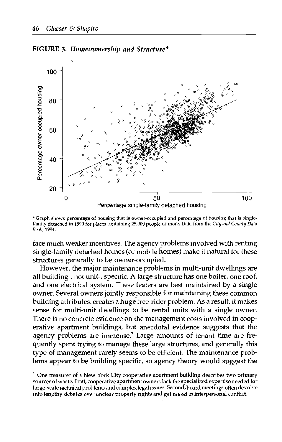



\* Graph shows percentage of housing that is owner-occupied and percentage of housing that is singlefamily detached in 1990 for places containing 25,000 people or more. Data from the *City and County Data Book,* 1994.

face much weaker incentives. The agency problems involved with renting single-family detached homes (or mobile homes) make it natural for these structures generally to be owner-occupied.

However, the major maintenance problems in multi-unit dwellings are all building-, not unit-, specific. A large structure has one boiler, one roof, and one electrical system. These featers are best maintained by a single owner. Several owners jointly responsible for maintaining these common building attributes, creates a huge free-rider problem. As a result, it makes sense for multi-unit dwellings to be rental units with a single owner. There is no concrete evidence on the management costs involved in cooperative apartment buildings, but anecdotal evidence suggests that the agency problems are immense.<sup>3</sup> Large amounts of tenant time are frequently spent trying to manage these large structures, and generally this type of management rarely seems to be efficient. The maintenance problems appear to be building specific, so agency theory would suggest the

<sup>&</sup>lt;sup>3</sup> One treasurer of a New York City cooperative apartment building describes two primary sources of waste. First, cooperative apartment owners lack the specialized expertise needed for large-scale technical problems and complex legal issues. Second, board meetings often devolve into lengthy debates over unclear property rights and get mired in interpersonal conflict.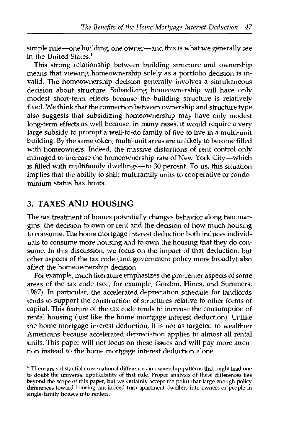simple rule—one building, one owner—and this is what we generally see in the United States.<sup>4</sup>

This strong relationship between building structure and ownership means that viewing homeownership solely as a portfolio decision is invalid. The homeownership decision generally involves a simultaneous decision about structure. Subsidizing homeownership will have only modest short-term effects because the building structure is relatively fixed. We think that the connection between ownership and structure type also suggests that subsidizing homeownership may have only modest long-term effects as well because, in many cases, it would require a very large subsidy to prompt a well-to-do family of five to live in a multi-unit building. By the same token, multi-unit areas are unlikely to become filled with homeowners. Indeed, the massive distortions of rent control only managed to increase the homeownership rate of New York City—which is filled with multifamily dwellings—to 30 percent. To us, this situation implies that the ability to shift multifamily units to cooperative or condominium status has limits.

#### **3. TAXES AND HOUSING**

The tax treatment of homes potentially changes behavior along two margins: the decision to own or rent and the decision of how much housing to consume. The home mortgage interest deduction both induces individuals to consume more housing and to own the housing that they do consume. In this discussion, we focus on the impact of that deduction, but other aspects of the tax code (and government policy more broadly) also affect the homeownership decision.

For example, much literature emphasizes the pro-renter aspects of some areas of the tax code (see, for example, Gordon, Hines, and Summers, 1987). In particular, the accelerated depreciation schedule for landlords tends to support the construction of structures relative to other forms of capital. This feature of the tax code tends to increase the consumption of rental housing (just like the home mortgage interest deduction). Unlike the home mortgage interest deduction, it is not as targeted to wealthier Americans because accelerated depreciation applies to almost all rental units. This paper will not focus on these issues and will pay more attention instead to the home mortgage interest deduction alone.

<sup>&</sup>lt;sup>4</sup> There are substantial cross-national differences in ownership patterns that might lead one to doubt the universal applicability of that rule. Proper analysis of these differences lies beyond the scope of this paper, but we certainly accept the point that large enough policy differences toward housing can indeed turn apartment dwellers into owners or people in single-family houses into renters.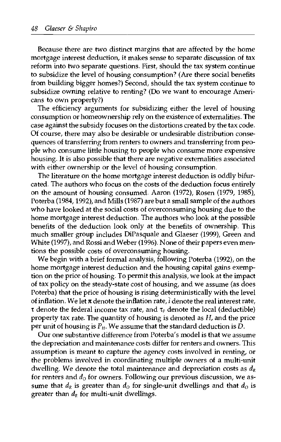Because there are two distinct margins that are affected by the home mortgage interest deduction, it makes sense to separate discussion of tax reform into two separate questions. First, should the tax system continue to subsidize the level of housing consumption? (Are there social benefits from building bigger homes?) Second, should the tax system continue to subsidize owning relative to renting? (Do we want to encourage Americans to own property?)

The efficiency arguments for subsidizing either the level of housing consumption or homeownership rely on the existence of externalities. The case against the subsidy focuses on the distortions created by the tax code. Of course, there may also be desirable or undesirable distribution consequences of transferring from renters to owners and transferring from people who consume little housing to people who consume more expensive housing. It is also possible that there are negative externalities associated with either ownership or the level of housing consumption.

The literature on the home mortgage interest deduction is oddly bifurcated. The authors who focus on the costs of the deduction focus entirely on the amount of housing consumed. Aaron (1972), Rosen (1979, 1985), Poterba (1984, 1992), and Mills (1987) are but a small sample of the authors who have looked at the social costs of overconsuming housing due to the home mortgage interest deduction. The authors who look at the possible benefits of the deduction look only at the benefits of ownership. This much smaller group includes DiPasquale and Glaeser (1999), Green and White (1997), and Rossi and Weber (1996). None of their papers even mentions the possible costs of overconsuming housing.

We begin with a brief formal analysis, following Poterba (1992), on the home mortgage interest deduction and the housing capital gains exemption on the price of housing. To permit this analysis, we look at the impact of tax policy on the steady-state cost of housing, and we assume (as does Poterba) that the price of housing is rising deterministically with the level of inflation. We let *n* denote the inflation rate, *i* denote the real interest rate,  $\tau$  denote the federal income tax rate, and  $\tau_p$  denote the local (deductible) property tax rate. The quantity of housing is denoted as *H,* and the price per unit of housing is  $P_H$ . We assume that the standard deduction is  $\overline{D}$ .

Our one substantive difference from Poterba's model is that we assume the depreciation and maintenance costs differ for renters and owners. This assumption is meant to capture the agency costs involved in renting, or the problems involved in coordinating multiple owners of a multi-unit dwelling. We denote the total maintenance and depreciation costs as  $d_R$ for renters and  $d_0$  for owners. Following our previous discussion, we assume that  $d<sub>R</sub>$  is greater than  $d<sub>O</sub>$  for single-unit dwellings and that  $d<sub>O</sub>$  is greater than  $d<sub>R</sub>$  for multi-unit dwellings.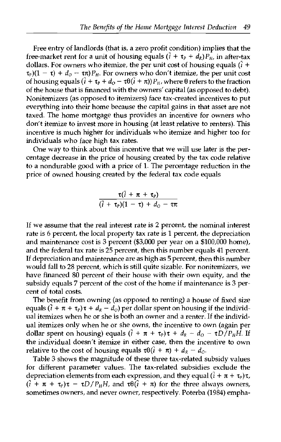Free entry of landlords (that is, a zero profit condition) implies that the free-market rent for a unit of housing equals  $(\bar{i} + \tau_p + d_g)P_H$ , in after-tax dollars. For owners who itemize, the per unit cost of housing equals *(i +*  $\tau_p$ )(1 –  $\tau$ ) + *d*<sub>0</sub> –  $\tau$  $\pi$ )*P<sub>H</sub>*. For owners who don't itemize, the per unit cost of housing equals  $(\tilde{i} + \tau_p + d_o - \tau \theta (\tilde{i} + \pi))P_H$ , where  $\theta$  refers to the fraction of the house that is financed with the owners' capital (as opposed to debt). Nonitemizers (as opposed to itemizers) face tax-created incentives to put everything into their home because the capital gains in that asset are not taxed. The home mortgage thus provides an incentive for owners who don't itemize to invest more in housing (at least relative to renters). This incentive is much higher for individuals who itemize and higher too for individuals who face high tax rates.

One way to think about this incentive that we will use later is the percentage decrease in the price of housing created by the tax code relative to a nondurable good with a price of 1. The percentage reduction in the price of owned housing created by the federal tax code equals

$$
\frac{\tau(\overline{i}+\pi+\tau_p)}{(\overline{i}+\tau_p)(1-\tau)+d_O-\tau\pi}
$$

If we assume that the real interest rate is 2 percent, the nominal interest rate is 6 percent, the local property tax rate is 1 percent, the depreciation and maintenance cost is 3 percent (\$3,000 per year on a \$100,000 home), and the federal tax rate is 25 percent, then this number equals 41 percent. If depreciation and maintenance are as high as 5 percent, then this number would fall to 28 percent, which is still quite sizable. For nonitemizers, we have financed 80 percent of their house with their own equity, and the subsidy equals 7 percent of the cost of the home if maintenance is 3 percent of total costs.

The benefit from owning (as opposed to renting) a house of fixed size equals  $(\bar{i} + \pi + \tau_p)\tau + d_R - d_0$  per dollar spent on housing if the individual itemizes when he or she is both an owner and a renter. If the individual itemizes only when he or she owns, the incentive to own (again per dollar spent on housing) equals  $(\bar{i} + \pi + \tau_p)\tau + d_R - d_0 - \tau D/P_H H$ . If the individual doesn't itemize in either case, then the incentive to own relative to the cost of housing equals  $\tau \theta(\bar{i} + \pi) + d_R - d_Q$ .

Table 3 shows the magnitude of these three tax-related subsidy values for different parameter values. The tax-related subsidies exclude the depreciation elements from each expression, and they equal  $(\vec{i} + \pi + \tau_p)\tau$ ,  $(\vec{i} + \pi + \tau_p)\tau - \tau D/P_H H$ , and  $\tau \theta (\vec{i} + \pi)$  for the three always owners, sometimes owners, and never owner, respectively. Poterba (1984) empha-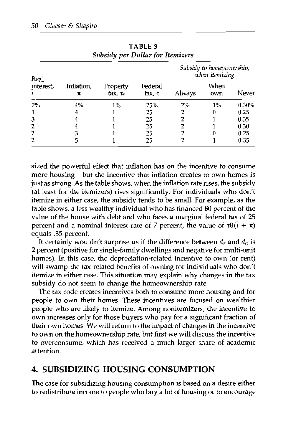| Real           |                 |                                                |                   |        | Subsidy to homeownership,<br>when itemizing |          |
|----------------|-----------------|------------------------------------------------|-------------------|--------|---------------------------------------------|----------|
| interest.      | Inflation,<br>π | Property<br>tax, $\tau_{\scriptscriptstyle P}$ | Federal<br>tax, τ | Always | When<br>own                                 | Never    |
| 2%             | 4%              | $1\%$                                          | 25%               | 2%     | $1\%$                                       | $0.30\%$ |
|                | 4               |                                                | 25                | 2      |                                             | 0.25     |
| 3              | 4               |                                                | 25                | 2      |                                             | 0.35     |
| $\overline{2}$ | 4               |                                                | 25                | າ      |                                             | 0.30     |
| 2              | З               |                                                | 25                | າ      |                                             | 0.25     |
| $\overline{2}$ |                 |                                                | 25                | າ      |                                             | 0.35     |

TABLE 3 *Subsidy per Dollar for Itemizers*

sized the powerful effect that inflation has on the incentive to consume more housing—but the incentive that inflation creates to own homes is just as strong. As the table shows, when the inflation rate rises, the subsidy (at least for the itemizers) rises significantly. For individuals who don't itemize in either case, the subsidy tends to be small. For example, as the table shows, a less wealthy individual who has financed 80 percent of the value of the house with debt and who faces a marginal federal tax of 25 percent and a nominal interest rate of 7 percent, the value of  $\tau \theta$  $(i + \pi)$ equals .35 percent.

It certainly wouldn't surprise us if the difference between  $d<sub>R</sub>$  and  $d<sub>O</sub>$  is 2 percent (positive for single-family dwellings and negative for multi-unit homes). In this case, the depreciation-related incentive to own (or rent) will swamp the tax-related benefits of owning for individuals who don't itemize in either case. This situation may explain why changes in the tax subsidy do not seem to change the homeownership rate.

The tax code creates incentives both to consume more housing and for people to own their homes. These incentives are focused on wealthier people who are likely to itemize. Among nonitemizers, the incentive to own increases only for those buyers who pay for a significant fraction of their own homes. We will return to the impact of changes in the incentive to own on the homeownership rate, but first we will discuss the incentive to overconsume, which has received a much larger share of academic attention.

#### **4. SUBSIDIZING HOUSING CONSUMPTION**

The case for subsidizing housing consumption is based on a desire either to redistribute income to people who buy a lot of housing or to encourage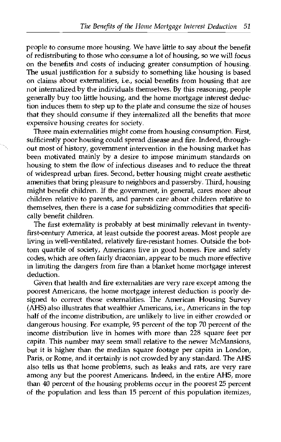people to consume more housing. We have little to say about the benefit of redistributing to those who consume a lot of housing, so we will focus on the benefits and costs of inducing greater consumption of housing. The usual justification for a subsidy to something like housing is based on claims about externalities, i.e., social benefits from housing that are not internalized by the individuals themselves. By this reasoning, people generally buy too little housing, and the home mortgage interest deduction induces them to step up to the plate and consume the size of houses that they should consume if they internalized all the benefits that more expensive housing creates for society.

Three main externalities might come from housing consumption. First, sufficiently poor housing could spread disease and fire. Indeed, throughout most of history, government intervention in the housing market has been motivated mainly by a desire to impose minimum standards on housing to stem the flow of infectious diseases and to reduce the threat of widespread urban fires. Second, better housing might create aesthetic amenities that bring pleasure to neighbors and passersby. Third, housing might benefit children. If the government, in general, cares more about children relative to parents, and parents care about children relative to themselves, then there is a case for subsidizing commodities that specifically benefit children.

The first externality is probably at best minimally relevant in twentyfirst-century America, at least outside the poorest areas. Most people are living in well-ventilated, relatively fire-resistant homes. Outside the bottom quartile of society, Americans live in good homes. Fire and safety codes, which are often fairly draconian, appear to be much more effective in limiting the dangers from fire than a blanket home mortgage interest deduction.

Given that health and fire externalities are very rare except among the poorest Americans, the home mortgage interest deduction is poorly designed to correct those externalities. The American Housing Survey (AHS) also illustrates that wealthier Americans, i.e., Americans in the top half of the income distribution, are unlikely to live in either crowded or dangerous housing. For example, 95 percent of the top 70 percent of the income distribution live in homes with more than 228 square feet per capita. This number may seem small relative to the newer McMansions, but it is higher than the median square footage per capita in London, Paris, or Rome, and it certainly is not crowded by any standard. The AHS also tells us that home problems, such as leaks and rats, are very rare among any but the poorest Americans. Indeed, in the entire AHS, more than 40 percent of the housing problems occur in the poorest 25 percent of the population and less than 15 percent of this population itemizes,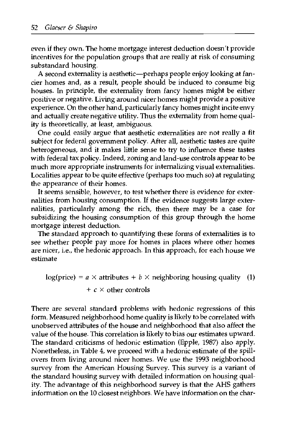even if they own. The home mortgage interest deduction doesn't provide incentives for the population groups that are really at risk of consuming substandard housing.

A second externality is aesthetic—perhaps people enjoy looking at fancier homes and, as a result, people should be induced to consume big houses. In principle, the externality from fancy homes might be either positive or negative. Living around nicer homes might provide a positive experience. On the other hand, particularly fancy homes might incite envy and actually create negative utility. Thus the externality from home quality is theoretically, at least, ambiguous.

One could easily argue that aesthetic externalities are not really a fit subject for federal government policy. After all, aesthetic tastes are quite heterogeneous, and it makes little sense to try to influence these tastes with federal tax policy. Indeed, zoning and land-use controls appear to be much more appropriate instruments for internalizing visual externalities. Localities appear to be quite effective (perhaps too much so) at regulating the appearance of their homes.

It seems sensible, however, to test whether there is evidence for externalities from housing consumption. If the evidence suggests large externalities, particularly among the rich, then there may be a case for subsidizing the housing consumption of this group through the home mortgage interest deduction.

The standard approach to quantifying these forms of externalities is to see whether people pay more for homes in places where other homes are nicer, i.e., the hedonic approach. In this approach, for each house we estimate

log(price) = 
$$
a \times
$$
 attributes +  $b \times$  neighboring housing quality (1)  
+  $c \times$  other controls

There are several standard problems with hedonic regressions of this form. Measured neighborhood home quality is likely to be correlated with unobserved attributes of the house and neighborhood that also affect the value of the house. This correlation is likely to bias our estimates upward. The standard criticisms of hedonic estimation (Epple, 1987) also apply. Nonetheless, in Table 4, we proceed with a hedonic estimate of the spillovers from living around nicer homes. We use the 1993 neighborhood survey from the American Housing Survey. This survey is a variant of the standard housing survey with detailed information on housing quality. The advantage of this neighborhood survey is that the AHS gathers information on the 10 closest neighbors. We have information on the char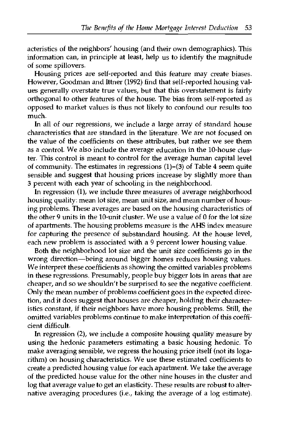acteristics of the neighbors' housing (and their own demographics). This information can, in principle at least, help us to identify the magnitude of some spillovers.

Housing prices are self-reported and this feature may create biases. However, Goodman and Ittner (1992) find that self-reported housing values generally overstate true values, but that this overstatement is fairly orthogonal to other features of the house. The bias from self-reported as opposed to market values is thus not likely to confound our results too much.

In all of our regressions, we include a large array of standard house characteristics that are standard in the literature. We are not focused on the value of the coefficients on these attributes, but rather we see them as a control. We also include the average education in the 10-house cluster. This control is meant to control for the average human capital level of community. The estimates in regressions  $(1)-(3)$  of Table 4 seem quite sensible and suggest that housing prices increase by slightly more than 3 percent with each year of schooling in the neighborhood.

In regression (1), we include three measures of average neighborhood housing quality: mean lot size, mean unit size, and mean number of housing problems. These averages are based on the housing characteristics of the other 9 units in the 10-unit cluster. We use a value of 0 for the lot size of apartments. The housing problems measure is the AHS index measure for capturing the presence of substandard housing. At the house level, each new problem is associated with a 9 percent lower housing value.

Both the neighborhood lot size and the unit size coefficients go in the wrong direction—being around bigger homes reduces housing values. We interpret these coefficients as showing the omitted variables problems in these regressions. Presumably, people buy bigger lots in areas that are cheaper, and so we shouldn't be surprised to see the negative coefficient. Only the mean number of problems coefficient goes in the expected direction, and it does suggest that houses are cheaper, holding their characteristics constant, if their neighbors have more housing problems. Still, the omitted variables problems continue to make interpretation of this coefficient difficult.

In regression (2), we include a composite housing quality measure by using the hedonic parameters estimating a basic housing hedonic. To make averaging sensible, we regress the housing price itself (not its logarithm) on housing characteristics. We use these estimated coefficients to create a predicted housing value for each apartment. We take the average of the predicted house value for the other nine houses in the cluster and log that average value to get an elasticity. These results are robust to alternative averaging procedures (i.e., taking the average of a log estimate).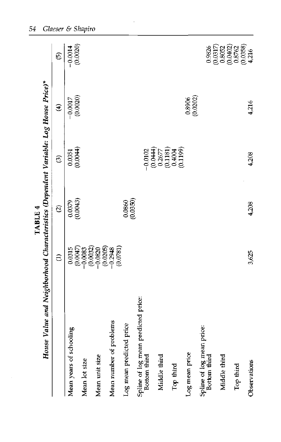| House Value and Neighborhood Characteristics (Dependent Variable: Log House Price)* |                                     | <b>TABLE 4</b>         |                                                                                                      |                        |                                                                                                          |
|-------------------------------------------------------------------------------------|-------------------------------------|------------------------|------------------------------------------------------------------------------------------------------|------------------------|----------------------------------------------------------------------------------------------------------|
|                                                                                     | $\widehat{c}$                       | $\widehat{\infty}$     | $\widehat{\mathbf{e}}$                                                                               | $\widehat{\mathbf{t}}$ | $\widehat{\circ}$                                                                                        |
| Mean years of schooling                                                             | 0.0315                              | (0.0379)               | $0.0351$<br>$(0.0044)$                                                                               | (0.0020)<br>$-0.0017$  | $-0.0014$<br>(0.0020)                                                                                    |
| Mean lot size                                                                       | (0.0047)                            |                        |                                                                                                      |                        |                                                                                                          |
| Mean unit size                                                                      | $(0.0032)$<br>$-0.0820$             |                        |                                                                                                      |                        |                                                                                                          |
| problems<br>Mean number of                                                          | $(0.0205)$<br>$-0.2948$<br>(0.0781) |                        |                                                                                                      |                        |                                                                                                          |
| Log mean predicted price                                                            |                                     | $0.0860$<br>$(0.0350)$ |                                                                                                      |                        |                                                                                                          |
| Spline of log mean predicted price:<br>Bottom third                                 |                                     |                        |                                                                                                      |                        |                                                                                                          |
| Middle third                                                                        |                                     |                        | $-0.0102$<br>$-0.0444$<br>$-0.2677$<br>$-0.3677$<br>$-0.4004$<br>$-0.1181$<br>$-0.4099$<br>$-0.1199$ |                        |                                                                                                          |
| Top third                                                                           |                                     |                        |                                                                                                      |                        |                                                                                                          |
| Log mean price                                                                      |                                     |                        |                                                                                                      | $0.8906$<br>$(0.0202)$ |                                                                                                          |
| Spline of log mean price:<br>Bottom third                                           |                                     |                        |                                                                                                      |                        | 0.9826                                                                                                   |
| Middle third                                                                        |                                     |                        |                                                                                                      |                        | $\begin{array}{l} (0.0317)\\ 0.8052\\ 0.8052\\ 0.0402)\\ 0.8762\\ 0.0358)\\ 0.0358)\\ 4.216 \end{array}$ |
| Top third                                                                           |                                     |                        |                                                                                                      |                        |                                                                                                          |
| Observations                                                                        | 3,625                               | 4,208                  | 4,208                                                                                                | 4,216                  |                                                                                                          |

 $\sim$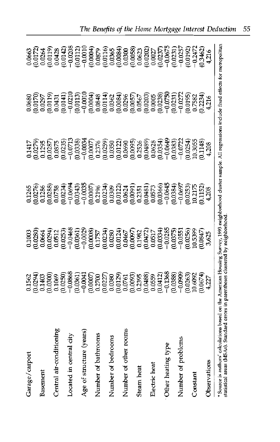| Garage/carpor                                                 |                                                                                                                                                                                                                                                                                             |                                  |                                                                                                                                                                                                                                                                                                          |                                                                                                                                                                                                                                                                                             |                                                            |                                                                                                                                                                                                                                                                                                            |
|---------------------------------------------------------------|---------------------------------------------------------------------------------------------------------------------------------------------------------------------------------------------------------------------------------------------------------------------------------------------|----------------------------------|----------------------------------------------------------------------------------------------------------------------------------------------------------------------------------------------------------------------------------------------------------------------------------------------------------|---------------------------------------------------------------------------------------------------------------------------------------------------------------------------------------------------------------------------------------------------------------------------------------------|------------------------------------------------------------|------------------------------------------------------------------------------------------------------------------------------------------------------------------------------------------------------------------------------------------------------------------------------------------------------------|
|                                                               |                                                                                                                                                                                                                                                                                             |                                  |                                                                                                                                                                                                                                                                                                          |                                                                                                                                                                                                                                                                                             |                                                            |                                                                                                                                                                                                                                                                                                            |
| Basement                                                      |                                                                                                                                                                                                                                                                                             |                                  |                                                                                                                                                                                                                                                                                                          |                                                                                                                                                                                                                                                                                             |                                                            |                                                                                                                                                                                                                                                                                                            |
|                                                               |                                                                                                                                                                                                                                                                                             |                                  |                                                                                                                                                                                                                                                                                                          |                                                                                                                                                                                                                                                                                             |                                                            |                                                                                                                                                                                                                                                                                                            |
| Central air-conditioning                                      |                                                                                                                                                                                                                                                                                             |                                  |                                                                                                                                                                                                                                                                                                          |                                                                                                                                                                                                                                                                                             |                                                            |                                                                                                                                                                                                                                                                                                            |
|                                                               | $\begin{array}{l} 1562 \\ 0.0294 \\ 0.1403 \\ 0.0086 \\ 0.0087 \\ 0.0099 \\ 0.0090 \\ 0.0000 \\ 0.0000 \\ 0.0000 \\ 0.0000 \\ 0.0000 \\ 0.0000 \\ 0.0000 \\ 0.0000 \\ 0.0000 \\ 0.0000 \\ 0.0000 \\ 0.0000 \\ 0.0000 \\ 0.0000 \\ 0.0000 \\ 0.0000 \\ 0.0000 \\ 0.0000 \\ 0.0000 \\ 0.0000$ |                                  | $\begin{array}{l} 0.1266 \\ 0.0276 \\ 0.02368 \\ 0.00000 \\ 0.00000 \\ -0.00000 \\ -0.00000 \\ -0.00000 \\ -0.00000 \\ -0.00000 \\ -0.00000 \\ -0.00000 \\ -0.00000 \\ -0.00000 \\ -0.00000 \\ -0.00000 \\ -0.00000 \\ -0.00000 \\ -0.00000 \\ -0.00000 \\ -0.00000 \\ -0.00000 \\ -0.00000 \\ -0.00000$ | $\begin{array}{l} 1.417 \\ 0.0279 \\ 0.0385 \\ 0.0000 \\ 0.0000 \\ 0.0000 \\ 0.0000 \\ 0.0000 \\ 0.0000 \\ 0.0000 \\ 0.0000 \\ 0.0000 \\ 0.0000 \\ 0.0000 \\ 0.0000 \\ 0.0000 \\ 0.0000 \\ 0.0000 \\ 0.0000 \\ 0.0000 \\ 0.0000 \\ 0.0000 \\ 0.0000 \\ 0.0000 \\ 0.0000 \\ 0.0000 \\ 0.000$ |                                                            | $\begin{smallmatrix} 666\\[-4pt] 660120\\[-4pt] 60119\\[-4pt] 60119\\[-4pt] 601010\\[-4pt] 60000\\[-4pt] 60000\\[-4pt] 60000\\[-4pt] 6000\\[-4pt] 6000\\[-4pt] 6000\\[-4pt] 6000\\[-4pt] 6000\\[-4pt] 6000\\[-4pt] 6000\\[-4pt] 600\\[-4pt] 600\\[-4pt] 600\\[-4pt] 600\\[-4pt] 600\\[-4pt] 600\\[-4pt] 6$ |
| Located in central city                                       |                                                                                                                                                                                                                                                                                             |                                  |                                                                                                                                                                                                                                                                                                          |                                                                                                                                                                                                                                                                                             |                                                            |                                                                                                                                                                                                                                                                                                            |
|                                                               |                                                                                                                                                                                                                                                                                             |                                  |                                                                                                                                                                                                                                                                                                          |                                                                                                                                                                                                                                                                                             |                                                            |                                                                                                                                                                                                                                                                                                            |
| Age of structure (years)                                      |                                                                                                                                                                                                                                                                                             |                                  |                                                                                                                                                                                                                                                                                                          |                                                                                                                                                                                                                                                                                             |                                                            |                                                                                                                                                                                                                                                                                                            |
|                                                               |                                                                                                                                                                                                                                                                                             |                                  |                                                                                                                                                                                                                                                                                                          |                                                                                                                                                                                                                                                                                             |                                                            |                                                                                                                                                                                                                                                                                                            |
| Number of bathrooms                                           |                                                                                                                                                                                                                                                                                             |                                  |                                                                                                                                                                                                                                                                                                          |                                                                                                                                                                                                                                                                                             |                                                            |                                                                                                                                                                                                                                                                                                            |
|                                                               |                                                                                                                                                                                                                                                                                             |                                  |                                                                                                                                                                                                                                                                                                          |                                                                                                                                                                                                                                                                                             |                                                            |                                                                                                                                                                                                                                                                                                            |
| Number of bedrooms                                            |                                                                                                                                                                                                                                                                                             |                                  |                                                                                                                                                                                                                                                                                                          |                                                                                                                                                                                                                                                                                             |                                                            |                                                                                                                                                                                                                                                                                                            |
|                                                               |                                                                                                                                                                                                                                                                                             |                                  |                                                                                                                                                                                                                                                                                                          |                                                                                                                                                                                                                                                                                             |                                                            |                                                                                                                                                                                                                                                                                                            |
| Number of other rooms                                         |                                                                                                                                                                                                                                                                                             |                                  |                                                                                                                                                                                                                                                                                                          |                                                                                                                                                                                                                                                                                             |                                                            |                                                                                                                                                                                                                                                                                                            |
|                                                               |                                                                                                                                                                                                                                                                                             |                                  |                                                                                                                                                                                                                                                                                                          |                                                                                                                                                                                                                                                                                             |                                                            |                                                                                                                                                                                                                                                                                                            |
| Steam heat                                                    |                                                                                                                                                                                                                                                                                             |                                  |                                                                                                                                                                                                                                                                                                          |                                                                                                                                                                                                                                                                                             |                                                            |                                                                                                                                                                                                                                                                                                            |
|                                                               |                                                                                                                                                                                                                                                                                             |                                  |                                                                                                                                                                                                                                                                                                          |                                                                                                                                                                                                                                                                                             |                                                            |                                                                                                                                                                                                                                                                                                            |
| Electric heat                                                 |                                                                                                                                                                                                                                                                                             |                                  |                                                                                                                                                                                                                                                                                                          |                                                                                                                                                                                                                                                                                             |                                                            |                                                                                                                                                                                                                                                                                                            |
|                                                               |                                                                                                                                                                                                                                                                                             |                                  |                                                                                                                                                                                                                                                                                                          |                                                                                                                                                                                                                                                                                             |                                                            |                                                                                                                                                                                                                                                                                                            |
| Other heating type                                            |                                                                                                                                                                                                                                                                                             |                                  |                                                                                                                                                                                                                                                                                                          |                                                                                                                                                                                                                                                                                             |                                                            |                                                                                                                                                                                                                                                                                                            |
|                                                               |                                                                                                                                                                                                                                                                                             |                                  |                                                                                                                                                                                                                                                                                                          |                                                                                                                                                                                                                                                                                             |                                                            |                                                                                                                                                                                                                                                                                                            |
| Number of problems                                            |                                                                                                                                                                                                                                                                                             |                                  |                                                                                                                                                                                                                                                                                                          |                                                                                                                                                                                                                                                                                             |                                                            |                                                                                                                                                                                                                                                                                                            |
|                                                               |                                                                                                                                                                                                                                                                                             |                                  |                                                                                                                                                                                                                                                                                                          |                                                                                                                                                                                                                                                                                             |                                                            |                                                                                                                                                                                                                                                                                                            |
| Constant                                                      |                                                                                                                                                                                                                                                                                             |                                  |                                                                                                                                                                                                                                                                                                          |                                                                                                                                                                                                                                                                                             |                                                            |                                                                                                                                                                                                                                                                                                            |
|                                                               |                                                                                                                                                                                                                                                                                             |                                  |                                                                                                                                                                                                                                                                                                          |                                                                                                                                                                                                                                                                                             |                                                            |                                                                                                                                                                                                                                                                                                            |
| Observations                                                  |                                                                                                                                                                                                                                                                                             |                                  |                                                                                                                                                                                                                                                                                                          |                                                                                                                                                                                                                                                                                             |                                                            |                                                                                                                                                                                                                                                                                                            |
| Source is authors' calculations based on the American Housing |                                                                                                                                                                                                                                                                                             | Surray 1993 neighborhood cluster |                                                                                                                                                                                                                                                                                                          |                                                                                                                                                                                                                                                                                             | cample All recrease include five affects for motemanistics |                                                                                                                                                                                                                                                                                                            |

<sup>.&</sup>lt;br>१९००<br>१००० **arvey,<br>by neig** .<br>E a o> CL, en «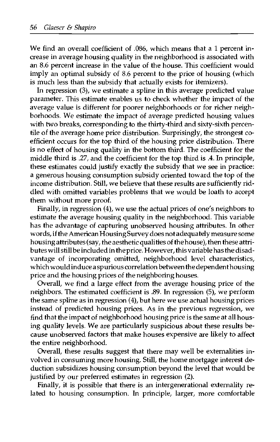We find an overall coefficient of .086, which means that a 1 percent increase in average housing quality in the neighborhood is associated with an 8.6 percent increase in the value of the house. This coefficient would imply an optimal subsidy of 8.6 percent to the price of housing (which is much less than the subsidy that actually exists for itemizers).

In regression (3), we estimate a spline in this average predicted value parameter. This estimate enables us to check whether the impact of the average value is different for poorer neighborhoods or for richer neighborhoods. We estimate the impact of average predicted housing values with two breaks, corresponding to the thirty-third and sixty-sixth percentile of the average home price distribution. Surprisingly, the strongest coefficient occurs for the top third of the housing price distribution. There is no effect of housing quality in the bottom third. The coefficient for the middle third is .27, and the coefficient for the top third is .4. In principle, these estimates could justify exactly the subsidy that we see in practice: a generous housing consumption subsidy oriented toward the top of the income distribution. Still, we believe that these results are sufficiently riddled with omitted variables problems that we would be loath to accept them without more proof.

Finally, in regression (4), we use the actual prices of one's neighbors to estimate the average housing quality in the neighborhood. This variable has the advantage of capturing unobserved housing attributes. In other words, if the American Housing Survey does not adequately measure some housing attributes (say, the aesthetic qualities of the house), then these attributes will still be included in the price. However, this variable has the disadvantage of incorporating omitted, neighborhood level characteristics, which would induce a spurious correlation between the dependent housing price and the housing prices of the neighboring houses.

Overall, we find a large effect from the average housing price of the neighbors. The estimated coefficient is .89. In regression (5), we perform the same spline as in regression (4), but here we use actual housing prices instead of predicted housing prices. As in the previous regression, we find that the impact of neighborhood housing price is the same at all housing quality levels. We are particularly suspicious about these results because unobserved factors that make houses expensive are likely to affect the entire neighborhood.

Overall, these results suggest that there may well be externalities involved in consuming more housing. Still, the home mortgage interest deduction subsidizes housing consumption beyond the level that would be justified by our preferred estimates in regression (2).

Finally, it is possible that there is an intergenerational externality related to housing consumption. In principle, larger, more comfortable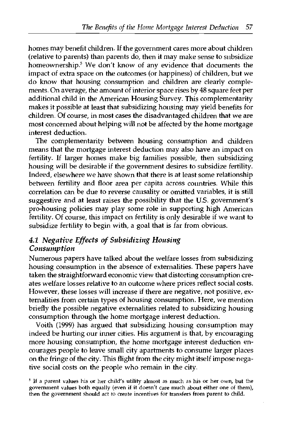homes may benefit children. If the government cares more about children (relative to parents) than parents  $d\tilde{o}$ , then it may make sense to subsidize homeownership.<sup>5</sup> We don't know of any evidence that documents the impact of extra space on the outcomes (or happiness) of children, but we do know that housing consumption and children are clearly complements. On average, the amount of interior space rises by 48 square feet per additional child in the American Housing Survey. This complementarity makes it possible at least that subsidizing housing may yield benefits for children. Of course, in most cases the disadvantaged children that we are most concerned about helping will not be affected by the home mortgage interest deduction.

The complementarity between housing consumption and children means that the mortgage interest deduction may also have an impact on fertility. If larger homes make big families possible, then subsidizing housing will be desirable if the government desires to subsidize fertility. Indeed, elsewhere we have shown that there is at least some relationship between fertility and floor area per capita across countries. While this correlation can be due to reverse causality or omitted variables, it is still suggestive and at least raises the possibility that the U.S. government's pro-housing policies may play some role in supporting high American fertility. Of course, this impact on fertility is only desirable if we want to subsidize fertility to begin with, a goal that is far from obvious.

#### *4.1 Negative Effects of Subsidizing Housing Consumption*

Numerous papers have talked about the welfare losses from subsidizing housing consumption in the absence of externalities. These papers have taken the straightforward economic view that distorting consumption creates welfare losses relative to an outcome where prices reflect social costs. However, these losses will increase if there are negative, not positive, externalities from certain types of housing consumption. Here, we mention briefly the possible negative externalities related to subsidizing housing consumption through the home mortgage interest deduction.

Voith (1999) has argued that subsidizing housing consumption may indeed be hurting our inner cities. His argument is that, by encouraging more housing consumption, the home mortgage interest deduction encourages people to leave small city apartments to consume larger places on the fringe of the city. This flight from the city might itself impose negative social costs on the people who remain in the city.

<sup>&</sup>lt;sup>5</sup> If a parent values his or her child's utility almost as much as his or her own, but the government values both equally (even if it doesn't care much about either one of them), then the government should act to create incentives for transfers from parent to child.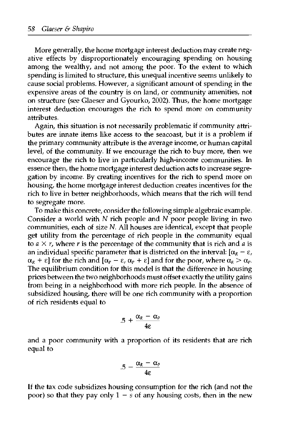More generally, the home mortgage interest deduction may create negative effects by disproportionately encouraging spending on housing among the wealthy, and not among the poor. To the extent to which spending is limited to structure, this unequal incentive seems unlikely to cause social problems. However, a significant amount of spending in the expensive areas of the country is on land, or community amenities, not on structure (see Glaeser and Gyourko, 2002). Thus, the home mortgage interest deduction encourages the rich to spend more on community attributes.

Again, this situation is not necessarily problematic if community attributes are innate items like access to the seacoast, but it is a problem if the primary community attribute is the average income, or human capital level, of the community. If we encourage the rich to buy more, then we encourage the rich to live in particularly high-income communities. In essence then, the home mortgage interest deduction acts to increase segregation by income. By creating incentives for the rich to spend more on housing, the home mortgage interest deduction creates incentives for the rich to live in better neighborhoods, which means that the rich will tend to segregate more.

To make this concrete, consider the following simple algebraic example. Consider a world with *N* rich people and *N* poor people living in two communities, each of size *N.* All houses are identical, except that people get utility from the percentage of rich people in the community equal to  $a \times r$ , where *r* is the percentage of the community that is rich and *a* is an individual specific parameter that is districted on the interval:  $[\alpha_R - \varepsilon]$ ,  $\alpha_R$  +  $\varepsilon$ ] for the rich and  $[\alpha_P - \varepsilon, \alpha_P + \varepsilon]$  and for the poor, where  $\alpha_R > \alpha_P$ . The equilibrium condition for this model is that the difference in housing prices between the two neighborhoods must offset exactly the utility gains from being in a neighborhood with more rich people. In the absence of subsidized housing, there will be one rich community with a proportion of rich residents equal to

$$
.5+\frac{\alpha_{R}-\alpha_{P}}{4\epsilon}
$$

and a poor community with a proportion of its residents that are rich equal to

$$
5-\frac{\alpha_R-\alpha_P}{4\epsilon}
$$

If the tax code subsidizes housing consumption for the rich (and not the poor) so that they pay only  $1 - \overline{s}$  of any housing costs, then in the new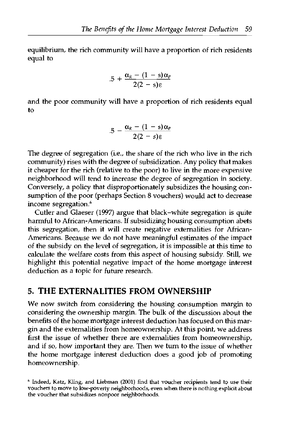equilibrium, the rich community will have a proportion of rich residents equal to

$$
.5+\frac{\alpha_{\scriptscriptstyle R}-(1-s)\alpha_{\scriptscriptstyle P}}{2(2-s)\epsilon}
$$

and the poor community will have a proportion of rich residents equal to

$$
5-\frac{\alpha_{\scriptscriptstyle R}-(1-s)\alpha_{\scriptscriptstyle P}}{2(2-s)\epsilon}
$$

The degree of segregation (i.e., the share of the rich who live in the rich community) rises with the degree of subsidization. Any policy that makes it cheaper for the rich (relative to the poor) to live in the more expensive neighborhood will tend to increase the degree of segregation in society. Conversely, a policy that disproportionately subsidizes the housing consumption of the poor (perhaps Section 8 vouchers) would act to decrease income segregation.<sup>6</sup>

Cutler and Glaeser (1997) argue that black-white segregation is quite harmful to African-Americans. If subsidizing housing consumption abets this segregation, then it will create negative externalities for African-Americans. Because we do not have meaningful estimates of the impact of the subsidy on the level of segregation, it is impossible at this time to calculate the welfare costs from this aspect of housing subsidy. Still, we highlight this potential negative impact of the home mortgage interest deduction as a topic for future research.

#### **5. THE EXTERNALITIES FROM OWNERSHIP**

We now switch from considering the housing consumption margin to considering the ownership margin. The bulk of the discussion about the benefits of the home mortgage interest deduction has focused on this margin and the externalities from homeownership. At this point, we address first the issue of whether there are externalities from homeownership, and if so, how important they are. Then we turn to the issue of whether the home mortgage interest deduction does a good job of promoting homeownership.

<sup>&</sup>lt;sup>6</sup> Indeed, Katz, Kling, and Liebman (2001) find that voucher recipients tend to use their vouchers to move to low-poverty neighborhoods, even when there is nothing explicit about the voucher that subsidizes nonpoor neighborhoods.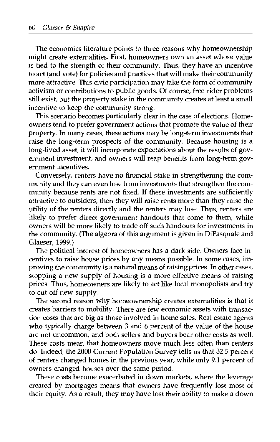The economics literature points to three reasons why homeownership might create externalities. First, homeowners own an asset whose value is tied to the strength of their community. Thus, they have an incentive to act (and vote) for policies and practices that will make their community more attractive. This civic participation may take the form of community activism or contributions to public goods. Of course, free-rider problems still exist, but the property stake in the community creates at least a small incentive to keep the community strong.

This scenario becomes particularly clear in the case of elections. Homeowners tend to prefer government actions that promote the value of their property. In many cases, these actions may be long-term investments that raise the long-term prospects of the community. Because housing is a long-lived asset, it will incorporate expectations about the results of government investment, and owners will reap benefits from long-term government incentives.

Conversely, renters have no financial stake in strengthening the community and they can even lose from investments that strengthen the community because rents are not fixed. If these investments are sufficiently attractive to outsiders, then they will raise rents more than they raise the utility of the renters directly and the renters may lose. Thus, renters are likely to prefer direct government handouts that come to them, while owners will be more likely to trade off such handouts for investments in the community. (The algebra of this argument is given in DiPasquale and Glaeser, 1999.)

The political interest of homeowners has a dark side. Owners face incentives to raise house prices by any means possible. In some cases, improving the community is a natural means of raising prices. In other cases, stopping a new supply of housing is a more effective means of raising prices. Thus, homeowners are likely to act like local monopolists and try to cut off new supply.

The second reason why homeownership creates externalities is that it creates barriers to mobility. There are few economic assets with transaction costs that are big as those involved in home sales. Real estate agents who typically charge between 3 and 6 percent of the value of the house are not uncommon, and both sellers and buyers bear other costs as well. These costs mean that homeowners move much less often than renters do. Indeed, the 2000 Current Population Survey tells us that 32.5 percent of renters changed homes in the previous year, while only 9.1 percent of owners changed houses over the same period.

These costs become exacerbated in down markets, where the leverage created by mortgages means that owners have frequently lost most of their equity. As a result, they may have lost their ability to make a down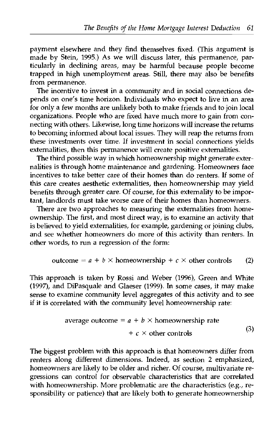payment elsewhere and they find themselves fixed. (This argument is made by Stein, 1995.) As we will discuss later, this permanence, particularly in declining areas, may be harmful because people become trapped in high unemployment areas. Still, there may also be benefits from permanence.

The incentive to invest in a community and in social connections depends on one's time horizon. Individuals who expect to live in an area for only a few months are unlikely both to make friends and to join local organizations. People who are fixed have much more to gain from connecting with others. Likewise, long time horizons will increase the returns to becoming informed about local issues. They will reap the returns from these investments over time. If investment in social connections yields externalities, then this permanence will create positive externalities.

The third possible way in which homeownership might generate externalities is through home maintenance and gardening. Homeowners face incentives to take better care of their homes than do renters. If some of this care creates aesthetic externalities, then homeownership may yield benefits through greater care. Of course, for this externality to be important, landlords must take worse care of their homes than homeowners.

There are two approaches to measuring the externalities from homeownership. The first, and most direct way, is to examine an activity that is believed to yield externalities, for example, gardening or joining clubs, and see whether homeowners do more of this activity than renters. In other words, to run a regression of the form:

outcome = 
$$
a + b \times \text{home ownership} + c \times \text{other controls}
$$
 (2)

This approach is taken by Rossi and Weber (1996), Green and White (1997), and DiPasquale and Glaeser (1999). In some cases, it may make sense to examine community level aggregates of this activity and to see if it is correlated with the community level homeownership rate:

average outcome = 
$$
a + b \times \text{home ownership rate}
$$
  
+  $c \times \text{other controls}$  (3)

The biggest problem with this approach is that homeowners differ from renters along different dimensions. Indeed, as section 2 emphasized, homeowners are likely to be older and richer. Of course, multivariate regressions can control for observable characteristics that are correlated with homeownership. More problematic are the characteristics (e.g., responsibility or patience) that are likely both to generate homeownership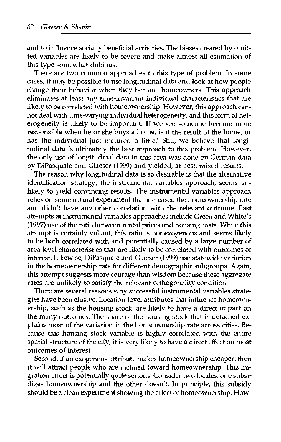and to influence socially beneficial activities. The biases created by omitted variables are likely to be severe and make almost all estimation of this type somewhat dubious.

There are two common approaches to this type of problem. In some cases, it may be possible to use longitudinal data and look at how people change their behavior when they become homeowners. This approach eliminates at least any time-invariant individual characteristics that are likely to be correlated with homeownership. However, this approach cannot deal with time-varying individual heterogeneity, and this form of heterogeneity is likely to be important. If we see someone become more responsible when he or she buys a home, is it the result of the home, or has the individual just matured a little? Still, we believe that longitudinal data is ultimately the best approach to this problem. However, the only use of longitudinal data in this area was done on German data by DiPasquale and Glaeser (1999) and yielded, at best, mixed results.

The reason why longitudinal data is so desirable is that the alternative identification strategy, the instrumental variables approach, seems unlikely to yield convincing results. The instrumental variables approach relies on some natural experiment that increased the homeownership rate and didn't have any other correlation with the relevant outcome. Past attempts at instrumental variables approaches include Green and White's (1997) use of the ratio between rental prices and housing costs. While this attempt is certainly valiant, this ratio is not exogenous and seems likely to be both correlated with and potentially caused by a large number of area level characteristics that are likely to be correlated with outcomes of interest. Likewise, DiPasquale and Glaeser (1999) use statewide variation in the homeownership rate for different demographic subgroups. Again, this attempt suggests more courage than wisdom because these aggregate rates are unlikely to satisfy the relevant orthogonality condition.

There are several reasons why successful instrumental variables strategies have been elusive. Location-level attributes that influence homeownership, such as the housing stock, are likely to have a direct impact on the many outcomes. The share of the housing stock that is detached explains most of the variation in the homeownership rate across cities. Because this housing stock variable is highly correlated with the entire spatial structure of the city, it is very likely to have a direct effect on most outcomes of interest.

Second, if an exogenous attribute makes homeownership cheaper, then it will attract people who are inclined toward homeownership. This migration effect is potentially quite serious. Consider two locales: one subsidizes homeownership and the other doesn't. In principle, this subsidy should be a clean experiment showing the effect of homeownership. How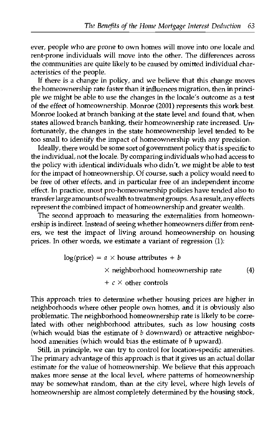ever, people who are prone to own homes will move into one locale and rent-prone individuals will move into the other. The differences across the communities are quite likely to be caused by omitted individual characteristics of the people.

If there is a change in policy, and we believe that this change moves the homeownership rate faster than it influences migration, then in principle we might be able to use the changes in the locale's outcome as a test of the effect of homeownership. Monroe (2001) represents this work best. Monroe looked at branch banking at the state level and found that, when states allowed branch banking, their homeownership rate increased. Unfortunately, the changes in the state homeownership level tended to be too small to identify the impact of homeownership with any precision.

Ideally, there would be some sort of government policy that is specific to the individual, not the locale. By comparing individuals who had access to the policy with identical individuals who didn't, we might be able to test for the impact of homeownership. Of course, such a policy would need to be free of other effects, and in particular free of an independent income effect. In practice, most pro-homeownership policies have tended also to transfer large amounts of wealth to treatment groups. As a result, any effects represent the combined impact of homeownership and greater wealth.

The second approach to measuring the externalities from homeownership is indirect. Instead of seeing whether homeowners differ from renters, we test the impact of living around homeownership on housing prices. In other words, we estimate a variant of regression (1):

$$
log(price) = a \times house attributes + b
$$
  
× neighborhood home ownership rate  
+ c × other controls  
(4)

This approach tries to determine whether housing prices are higher in neighborhoods where other people own homes, and it is obviously also problematic. The neighborhood homeownership rate is likely to be correlated with other neighborhood attributes, such as low housing costs (which would bias the estimate of *b* downward) or attractive neighborhood amenities (which would bias the estimate of *b* upward).

Still, in principle, we can try to control for location-specific amenities. The primary advantage of this approach is that it gives us an actual dollar estimate for the value of homeownership. We believe that this approach makes more sense at the local level, where patterns of homeownership may be somewhat random, than at the city level, where high levels of homeownership are almost completely determined by the housing stock,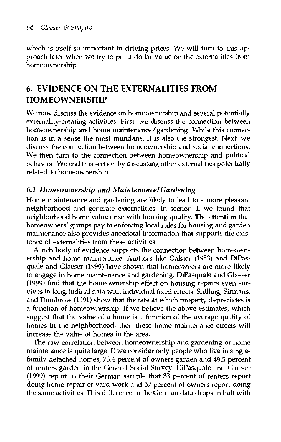which is itself so important in driving prices. We will turn to this approach later when we try to put a dollar value on the externalities from homeownership.

## **6. EVIDENCE ON THE EXTERNALITIES FROM HOMEOWNERSHIP**

We now discuss the evidence on homeownership and several potentially externality-creating activities. First, we discuss the connection between homeownership and home maintenance/gardening. While this connection is in a sense the most mundane, it is also the strongest. Next, we discuss the connection between homeownership and social connections. We then turn to the connection between homeownership and political behavior. We end this section by discussing other externalities potentially related to homeownership.

#### *6.1 Homeownership and Maintenance/Gardening*

Home maintenance and gardening are likely to lead to a more pleasant neighborhood and generate externalities. In section 4, we found that neighborhood home values rise with housing quality. The attention that homeowners' groups pay to enforcing local rules for housing and garden maintenance also provides anecdotal information that supports the existence of externalities from these activities.

A rich body of evidence supports the connection between homeownership and home maintenance. Authors like Galster (1983) and DiPasquale and Glaeser (1999) have shown that homeowners are more likely to engage in home maintenance and gardening. DiPasquale and Glaeser (1999) find that the homeownership effect on housing repairs even survives in longitudinal data with individual fixed effects. Shilling, Sirmans, and Dombrow (1991) show that the rate at which property depreciates is a function of homeownership. If we believe the above estimates, which suggest that the value of a home is a function of the average quality of homes in the neighborhood, then these home maintenance effects will increase the value of homes in the area.

The raw correlation between homeownership and gardening or home maintenance is quite large. If we consider only people who live in singlefamily detached homes, 73.4 percent of owners garden and 49.5 percent of renters garden in the General Social Survey. DiPasquale and Glaeser (1999) report in their German sample that 33 percent of renters report doing home repair or yard work and 57 percent of owners report doing the same activities. This difference in the German data drops in half with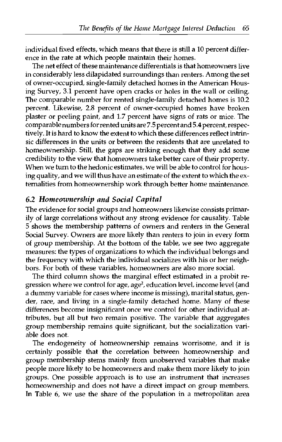individual fixed effects, which means that there is still a 10 percent difference in the rate at which people maintain their homes.

The net effect of these maintenance differentials is that homeowners live in considerably less dilapidated surroundings than renters. Among the set of owner-occupied, single-family detached homes in the American Housing Survey, 3.1 percent have open cracks or holes in the wall or ceiling. The comparable number for rented single-family detached homes is 10.2 percent. Likewise, 2.8 percent of owner-occupied homes have broken plaster or peeling paint, and 1.7 percent have signs of rats or mice. The comparable numbers for rented units are 7.5 percent and 5.4 percent, respectively. It is hard to know the extent to which these differences reflect intrinsic differences in the units or between the residents that are unrelated to homeownership. Still, the gaps are striking enough that they add some credibility to the view that homeowners take better care of their property. When we turn to the hedonic estimates, we will be able to control for housing quality, and we will thus have an estimate of the extent to which the externalities from homeownership work through better home maintenance.

#### *6.2 Homeownership and Social Capital*

The evidence for social groups and homeowners likewise consists primarily of large correlations without any strong evidence for causality. Table 5 shows the membership patterns of owners and renters in the General Social Survey. Owners are more likely than renters to join in every form of group membership. At the bottom of the table, we see two aggregate measures: the types of organizations to which the individual belongs and the frequency with which the individual socializes with his or her neighbors. For both of these variables, homeowners are also more social.

The third column shows the marginal effect estimated in a probit regression where we control for age, age<sup>2</sup>, education level, income level (and a dummy variable for cases where income is missing), marital status, gender, race, and living in a single-family detached home. Many of these differences become insignificant once we control for other individual attributes, but all but two remain positive. The variable that aggregates group membership remains quite significant, but the socialization variable does not.

The endogeneity of homeownership remains worrisome, and it is certainly possible that the correlation between homeownership and group membership stems mainly from unobserved variables that make people more likely to be homeowners and make them more likely to join groups. One possible approach is to use an instrument that increases homeownership and does not have a direct impact on group members. In Table 6, we use the share of the population in a metropolitan area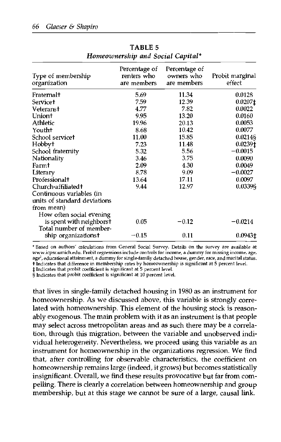| Type of membership<br>organization                                              | Percentage of<br>renters who<br>are members | Percentage of<br>owners who<br>are members | Probit marginal<br>effect |
|---------------------------------------------------------------------------------|---------------------------------------------|--------------------------------------------|---------------------------|
| Fraternalt                                                                      | 5.69                                        | 11.34                                      | 0.0128                    |
| Servicet                                                                        | 7.59                                        | 12.39                                      | 0.0207‡                   |
| Veteranst                                                                       | 4.77                                        | 7.82                                       | 0.0022                    |
| Uniont                                                                          | 9.95                                        | 13.20                                      | 0.0160                    |
| Athletic                                                                        | 19.96                                       | 20.13                                      | 0.0053                    |
| Youth†                                                                          | 8.68                                        | 10.42                                      | 0.0077                    |
| School servicet                                                                 | 11.00                                       | 15.85                                      | 0.0214§                   |
| Hobbyt                                                                          | 7.23                                        | 11.48                                      | 0.0239‡                   |
| School fraternity                                                               | 5.32                                        | 5.56                                       | $-0.0015$                 |
| Nationality                                                                     | 3.46                                        | 3.75                                       | 0.0090                    |
| Farmt                                                                           | 2.09                                        | 4.30                                       | 0.0049                    |
| Literary                                                                        | 8.78                                        | 9.09                                       | $-0.0027$                 |
| Professionalt                                                                   | 13.64                                       | 17.11                                      | 0.0097                    |
| Church-affiliated+                                                              | 9.44                                        | 12.97                                      | 0.03398                   |
| Continuous variables (in                                                        |                                             |                                            |                           |
| units of standard deviations                                                    |                                             |                                            |                           |
| from mean)                                                                      |                                             |                                            |                           |
| How often social evening<br>is spent with neighborst<br>Total number of member- | 0.05                                        | $-0.12$                                    | $-0.0214$                 |
| ship organizationst                                                             | $-0.15$                                     | 0.11                                       | 0.0943‡                   |

TABLE 5 *Homeownership and Social Capital\**

\* Based on authors' calculations from General Social Survey. Details on the survey are available at www.icpsr.umich.edu. Probit regressions include controls for income, a dummy for missing income, age, age<sup>2</sup>, educational attainment, a dummy for single-family detached house, gender, race, and marital status. + Indicates that difference in membership rates by homeownership is significant at 5 percent level.

J Indicates that probit coefficient is significant at 5 percent level.

§ Indicates that probit coefficient is significant at 10 percent level.

that lives in single-family detached housing in 1980 as an instrument for homeownership. As we discussed above, this variable is strongly correlated with homeownership. This element of the housing stock is reasonably exogenous. The main problem with it as an instrument is that people may select across metropolitan areas and as such there may be a correlation, through this migration, between the variable and unobserved individual heterogeneity. Nevertheless, we proceed using this variable as an instrument for homeownership in the organizations regression. We find that, after controlling for observable characteristics, the coefficient on homeownership remains large (indeed, it grows) but becomes statistically insignificant. Overall, we find these results provocative but far from compelling. There is clearly a correlation between homeownership and group membership, but at this stage we cannot be sure of a large, causal link.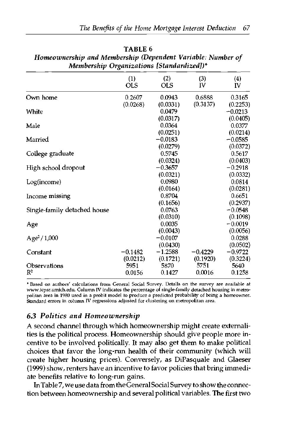| <b>INTERNATIONAL COMMENTATIONS</b> COMMUNISTIC |                   |            |           |           |
|------------------------------------------------|-------------------|------------|-----------|-----------|
|                                                | (1)<br><b>OLS</b> | (2)<br>OLS | (3)<br>IV | (4)<br>IV |
| Own home                                       | 0.2607            | 0.0943     | 0.6888    | 0.3165    |
|                                                | (0.0268)          | (0.0331)   | (0.3137)  | (0.2253)  |
| White                                          |                   | 0.0479     |           | $-0.0213$ |
|                                                |                   | (0.0317)   |           | (0.0405)  |
| Male                                           |                   | 0.0364     |           | 0.0377    |
|                                                |                   | (0.0251)   |           | (0.0214)  |
| Married                                        |                   | $-0.0183$  |           | $-0.0585$ |
|                                                |                   | (0.0279)   |           | (0.0372)  |
| College graduate                               |                   | 0.5745     |           | 0.5617    |
|                                                |                   | (0.0324)   |           | (0.0403)  |
| High school dropout                            |                   | $-0.3657$  |           | $-0.2918$ |
|                                                |                   | (0.0321)   |           | (0.0332)  |
| Log(income)                                    |                   | 0.0980     |           | 0.0814    |
|                                                |                   | (0.0164)   |           | (0.0281)  |
| Income missing                                 |                   | 0.8704     |           | 0.6651    |
|                                                |                   | (0.1656)   |           | (0.2937)  |
| Single-family detached house                   |                   | 0.0763     |           | $-0.0548$ |
|                                                |                   | (0.0310)   |           | (0.1098)  |
| Age                                            |                   | 0.0035     |           | $-0.0019$ |
|                                                |                   | (0.0043)   |           | (0.0056)  |
| Age <sup>2</sup> / 1,000                       |                   | $-0.0107$  |           | 0.0288    |
|                                                |                   | (0.0430)   |           | (0.0502)  |
| Constant                                       | $-0.1482$         | $-1.2588$  | $-0.4229$ | $-0.9722$ |
|                                                | (0.0212)          | (0.1721)   | (0.1920)  | (0.3224)  |
| Observations                                   | 5951              | 5870       | 5751      | 5640      |
| $R^2$                                          | 0.0156            | 0.1427     | 0.0016    | 0.1258    |

**TABLE 6** *Homeownership and Membership (Dependent Variable: Number of Membership Organizations [Standardized])\**

\* Based on authors' calculations from General Social Survey. Details on the survey are available at www.icpsr.umich.edu. Column IV indicates the percentage of single-family detached housing in metropolitan area in 1980 used in a probit model to produce a predicted probability of being a homeowner. Standard errors in column IV regressions adjusted for clustering on metropolitan area.

#### *6.3 Politics and Homeownership*

A second channel through which homeownership might create externalities is the political process. Homeownership should give people more incentive to be involved politically. It may also get them to make political choices that favor the long-run health of their community (which will create higher housing prices). Conversely, as DiPasquale and Glaeser (1999) show, renters have an incentive to favor policies that bring immediate benefits relative to long-run gains.

In Table 7, we use data from the General Social Survey to show the connection between homeownership and several political variables. The first two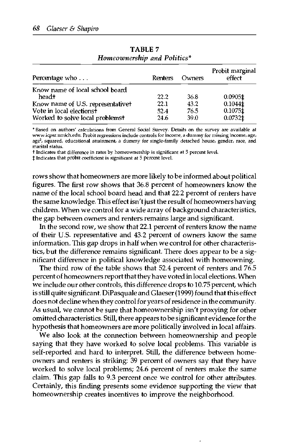| Percentage who                                              | Renters      | Owners       | Probit marginal<br>effect                  |
|-------------------------------------------------------------|--------------|--------------|--------------------------------------------|
| Know name of local school board<br>head <b>t</b>            | 22.2         | 36.8         | $0.0905$ <b>t</b>                          |
| Know name of U.S. representativet                           | 22.1         | 43.2         | 0.10441                                    |
| Vote in local electionst<br>Worked to solve local problemst | 52.4<br>24.6 | 76.5<br>39.0 | 0.1075 <sup>±</sup><br>0.0732 <sub>1</sub> |

TABLE 7 *Homeownership and Politics\**

\* Based on authors' calculations from General Social Survey. Details on the survey are available at www.icpsr.umich.edu. Probit regressions include controls for income, a dummy for missing income, age, age<sup>2</sup>, squared, educational attainment, a dummy for single-family detached house, gender, race, and marital status.

t Indicates that difference in rates by homeownership is significant at 5 percent level.

*X* Indicates that probit coefficient is significant at 5 percent level.

rows show that homeowners are more likely to be informed about political figures. The first row shows that 36.8 percent of homeowners know the name of the local school board head and that 22.2 percent of renters have the same knowledge. This effect isn't just the result of homeowners having children. When we control for a wide array of background characteristics, the gap between owners and renters remains large and significant.

In the second row, we show that 22.1 percent of renters know the name of their U.S. representative and 43.2 percent of owners know the same information. This gap drops in half when we control for other characteristics, but the difference remains significant. There does appear to be a significant difference in political knowledge associated with homeowning.

The third row of the table shows that 52.4 percent of renters and 76.5 percent of homeowners report that they have voted in local elections. When we include our other controls, this difference drops to 10.75 percent, which is still quite significant. DiPasquale and Glaeser (1999) found that this effect does not decline when they control for years of residence in the community. As usual, we cannot be sure that homeownership isn't proxying for other omitted characteristics. Still, there appears to be significant evidence for the hypothesis that homeowners are more politically involved in local affairs.

We also look at the connection between homeownership and people saying that they have worked to solve local problems. This variable is self-reported and hard to interpret. Still, the difference between homeowners and renters is striking: 39 percent of owners say that they have worked to solve local problems; 24.6 percent of renters make the same claim. This gap falls to 9.3 percent once we control for other attributes. Certainly, this finding presents some evidence supporting the view that homeownership creates incentives to improve the neighborhood.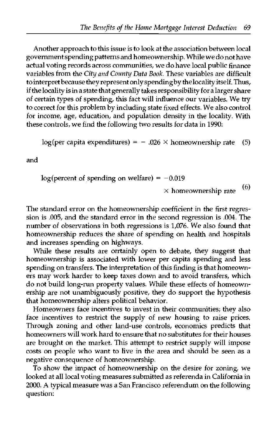Another approach to this issue is to look at the association between local government spending patterns and homeownership. While we do not have actual voting records across communities, we do have local public finance variables from the *City and County Data Book.* These variables are difficult to interpret because they represent only spending by the locality itself. Thus, if the locality is in a state that generally takes responsibility for a larger share of certain types of spending, this fact will influence our variables. We try to correct for this problem by including state fixed effects. We also control for income, age, education, and population density in the locality. With these controls, we find the following two results for data in 1990:

 $log(per capita expenditures) = -.026 \times home ownership rate (5)$ 

and

 $log(percent of spending on welfare) = -0.019$ 

 $\times$  homeownership rate  $(6)$ 

The standard error on the homeownership coefficient in the first regression is .005, and the standard error in the second regression is .004. The number of observations in both regressions is 1,076. We also found that homeownership reduces the share of spending on health and hospitals and increases spending on highways.

While these results are certainly open to debate, they suggest that homeownership is associated with lower per capita spending and less spending on transfers. The interpretation of this finding is that homeowners may work harder to keep taxes down and to avoid transfers, which do not build long-run property values. While these effects of homeownership are not unambiguously positive, they do support the hypothesis that homeownership alters political behavior.

Homeowners face incentives to invest in their communities; they also face incentives to restrict the supply of new housing to raise prices. Through zoning and other land-use controls, economics predicts that homeowners will work hard to ensure that no substitutes for their houses are brought on the market. This attempt to restrict supply will impose costs on people who want to live in the area and should be seen as a negative consequence of homeownership.

To show the impact of homeownership on the desire for zoning, we looked at all local voting measures submitted as referenda in California in 2000. A typical measure was a San Francisco referendum on the following question: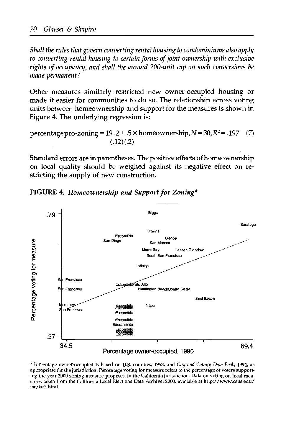*Shall the rules that govern converting rental housing to condominiums also apply to converting rental housing to certain forms of joint ownership with exclusive rights of occupancy, and shall the annual 200-unit cap on such conversions be made permanent?*

Other measures similarly restricted new owner-occupied housing or made it easier for communities to do so. The relationship across voting units between homeownership and support for the measures is shown in Figure 4. The underlying regression is:

percentage pro-zoning =  $19.2 + .5 \times$  homeownership,  $N = 30$ ,  $R^2 = .197$  (7)  $(.12)(.2)$ 

Standard errors are in parentheses. The positive effects of homeownership on local quality should be weighed against its negative effect on restricting the supply of new construction.



**FIGURE 4.** *Homeownership and Support for Zoning\**

\* Percentage owner-occupied is based on U.S. counties, 1998, and *City and County Data Book,* 1994, as appropriate for the jurisdiction. Percentage voting for measure refers to the percentage of voters supporting the year 2000 zoning measure proposed in the California jurisdiction. Data on voting on local measures taken from the California Local Elections Data Archive, 2000, available at http://www.csus.edu/ isr/ isr3.html.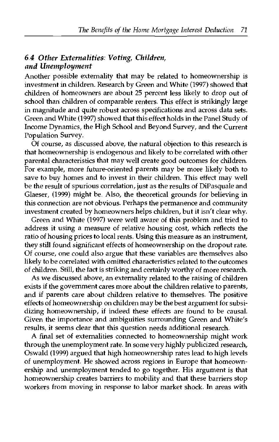#### *6.4 Other Externalities: Voting, Children, and Unemployment*

Another possible externality that may be related to homeownership is investment in children. Research by Green and White (1997) showed that children of homeowners are about 25 percent less likely to drop out of school than children of comparable renters. This effect is strikingly large in magnitude and quite robust across specifications and across data sets. Green and White (1997) showed that this effect holds in the Panel Study of Income Dynamics, the High School and Beyond Survey, and the Current Population Survey.

Of course, as discussed above, the natural objection to this research is that homeownership is endogenous and likely to be correlated with other parental characteristics that may well create good outcomes for children. For example, more future-oriented parents may be more likely both to save to buy homes and to invest in their children. This effect may well be the result of spurious correlation, just as the results of DiPasquale and Glaeser, (1999) might be. Also, the theoretical grounds for believing in this connection are not obvious. Perhaps the permanence and community investment created by homeowners helps children, but it isn't clear why.

Green and White (1997) were well aware of this problem and tried to address it using a measure of relative housing cost, which reflects the ratio of housing prices to local rents. Using this measure as an instrument, they still found significant effects of homeownership on the dropout rate. Of course, one could also argue that these variables are themselves also likely to be correlated with omitted characteristics related to the outcomes of children. Still, the fact is striking and certainly worthy of more research.

As we discussed above, an externality related to the raising of children exists if the government cares more about the children relative to parents, and if parents care about children relative to themselves. The positive effects of homeownership on children may be the best argument for subsidizing homeownership, if indeed these effects are found to be causal. Given the importance and ambiguities surrounding Green and White's results, it seems clear that this question needs additional research.

A final set of externalities connected to homeownership might work through the unemployment rate. In some very highly publicized research, Oswald (1999) argued that high homeownership rates lead to high levels of unemployment. He showed across regions in Europe that homeownership and unemployment tended to go together. His argument is that homeownership creates barriers to mobility and that these barriers stop workers from moving in response to labor market shock. In areas with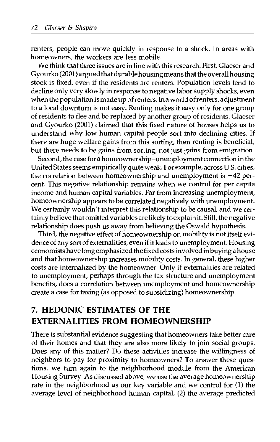renters, people can move quickly in response to a shock. In areas with homeowners, the workers are less mobile.

We think that three issues are in line with this research. First, Glaeser and Gyourko (2001) argued that durable housing means that the overall housing stock is fixed, even if the residents are renters. Population levels tend to decline only very slowly in response to negative labor supply shocks, even when the population is made up of renters. In a world of renters, adjustment to a local downturn is not easy. Renting makes it easy only for one group of residents to flee and be replaced by another group of residents. Glaeser and Gyourko (2001) claimed that this fixed nature of houses helps us to understand why low human capital people sort into declining cities. If there are huge welfare gains from this sorting, then renting is beneficial, but there needs to be gains from sorting, not just gains from emigration.

Second, the case for a homeownership-unemployment connection in the United States seems empirically quite weak. For example, across U.S. cities, the correlation between homeownership and unemployment is —42 percent. This negative relationship remains when we control for per capita income and human capital variables. Far from increasing unemployment, homeownership appears to be correlated negatively with unemployment. We certainly wouldn't interpret this relationship to be causal, and we certainly believe that omitted variables are likely to explain it. Still, the negative relationship does push us away from believing the Oswald hypothesis.

Third, the negative effect of homeownership on mobility is not itself evidence of any sort of externalities, even if it leads to unemployment. Housing economists have long emphasized the fixed costs involved in buying a house and that homeownership increases mobility costs. In general, these higher costs are internalized by the homeowner. Only if externalities are related to unemployment, perhaps through the tax structure and unemployment benefits, does a correlation between unemployment and homeownership create a case for taxing (as opposed to subsidizing) homeownership.

## **7. HEDONIC ESTIMATES OF THE EXTERNALITIES FROM HOMEOWNERSHIP**

There is substantial evidence suggesting that homeowners take better care of their homes and that they are also more likely to join social groups. Does any of this matter? Do these activities increase the willingness of neighbors to pay for proximity to homeowners? To answer these questions, we turn again to the neighborhood module from the American Housing Survey. As discussed above, we use the average homeownership rate in the neighborhood as our key variable and we control for (1) the average level of neighborhood human capital, (2) the average predicted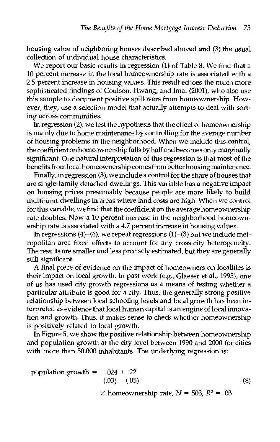housing value of neighboring houses described aboved and (3) the usual collection of individual house characteristics.

We report our basic results in regression (1) of Table 8. We find that a 10 percent increase in the local homeownership rate is associated with a 2.5 percent increase in housing values. This result echoes the much more sophisticated findings of Coulson, Hwang, and Imai (2001), who also use this sample to document positive spillovers from homeownership. However, they, use a selection model that actually attempts to deal with sorting across communities.

In regression (2), we test the hypothesis that the effect of homeownership is mainly due to home maintenance by controlling for the average number of housing problems in the neighborhood. When we include this control, the coefficient on homeownership falls by half and becomes only marginally significant. One natural interpretation of this regression is that most of the benefits from local homeownership comes from better housing maintenance.

Finally, in regression (3), we include a control for the share of houses that are single-family detached dwellings. This variable has a negative impact on housing prices presumably because people are more likely to build multi-unit dwellings in areas where land costs are high. When we control for this variable, we find that the coefficient on the average homeownership rate doubles. Now a 10 percent increase in the neighborhood homeownership rate is associated with a 4.7 percent increase in housing values.

In regressions (4)-(6), we repeat regressions  $(1)-(3)$  but we include metropolitan area fixed effects to account for any cross-city heterogeneity. The results are smaller and less precisely estimated, but they are generally still significant.

A final piece of evidence on the impact of homeowners on localities is their impact on local growth. In past work (e.g., Glaeser et al., 1995), one of us has used city growth regressions as a means of testing whether a particular attribute is good for a city. Thus, the generally strong positive relationship between local schooling levels and local growth has been interpreted as evidence that local human capital is an engine of local innovation and growth. Thus, it makes sense to check whether homeownership is positively related to local growth.

In Figure 5, we show the positive relationship between homeownership and population growth at the city level between 1990 and 2000 for cities with more than 50,000 inhabitants. The underlying regression is:

population growth = 
$$
-0.024 + 0.22
$$
  
(0.03) (0.05)  
 $\times$  home ownership rate,  $N = 503$ ,  $R^2 = 0.03$  (8)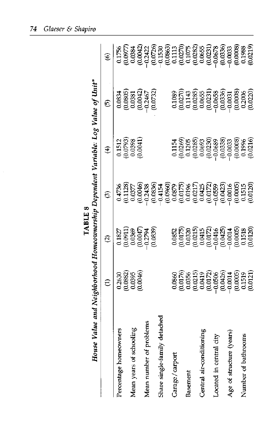| House Value and Neighborhood Homeownership Dependent Variable: Log Value of Unit* |                                                                                                                                                                      | TABLE 8                                                                  |                                                                          |                                                                                                                                                                                                                                                                                                               |                                                                                            |                                                                                                                                    |
|-----------------------------------------------------------------------------------|----------------------------------------------------------------------------------------------------------------------------------------------------------------------|--------------------------------------------------------------------------|--------------------------------------------------------------------------|---------------------------------------------------------------------------------------------------------------------------------------------------------------------------------------------------------------------------------------------------------------------------------------------------------------|--------------------------------------------------------------------------------------------|------------------------------------------------------------------------------------------------------------------------------------|
|                                                                                   | $\widehat{\Xi}$                                                                                                                                                      | $\widehat{\mathfrak{O}}$                                                 | ම                                                                        | $\widehat{\mathbf{t}}$                                                                                                                                                                                                                                                                                        | Õ                                                                                          | $\widehat{\mathbf{e}}$                                                                                                             |
| Percentage homeowners                                                             | 0.2630                                                                                                                                                               | 0.1827                                                                   |                                                                          |                                                                                                                                                                                                                                                                                                               | 0.0834                                                                                     |                                                                                                                                    |
| Mean years of schooling                                                           | $(0.0882)$<br>0.0395<br>$(0.0046)$                                                                                                                                   | (0.0911)<br>0.0369                                                       | $\begin{array}{c} 0.4736 \\ (0.1128) \\ 0.0377 \end{array}$              | $\begin{array}{c} 0.1512 \\ (0.0793) \\ 0.0398 \\ (0.0041) \end{array}$                                                                                                                                                                                                                                       | $\begin{array}{c} (0.0805) \\ 0.0381 \\ (0.0042) \\ (-0.2467) \end{array}$                 |                                                                                                                                    |
|                                                                                   |                                                                                                                                                                      |                                                                          | (0.0046)                                                                 |                                                                                                                                                                                                                                                                                                               |                                                                                            |                                                                                                                                    |
| Mean number of problems                                                           |                                                                                                                                                                      | $(0.0047)$<br>$-0.2794$<br>(0.0839)                                      | $-0.2438$                                                                |                                                                                                                                                                                                                                                                                                               | (0.0732)                                                                                   |                                                                                                                                    |
| Share single-family detached                                                      |                                                                                                                                                                      |                                                                          | $(0.0836)$<br>$-0.4154$                                                  |                                                                                                                                                                                                                                                                                                               |                                                                                            | $6.1756$<br>$0.0970$<br>$0.0342$<br>$0.0042$<br>$0.0042$<br>$0.0042$<br>$0.0063$<br>$0.0063$<br>$0.00270$<br>$0.00270$<br>$0.0075$ |
| Garage/carport                                                                    |                                                                                                                                                                      | 0.0852                                                                   |                                                                          |                                                                                                                                                                                                                                                                                                               | 0.1089                                                                                     |                                                                                                                                    |
|                                                                                   |                                                                                                                                                                      | $(0.0175)$<br>$0.0320$                                                   | $\begin{array}{c} (0.0960) \\ 0.0879 \\ (0.0175) \\ (0.0196 \end{array}$ |                                                                                                                                                                                                                                                                                                               |                                                                                            |                                                                                                                                    |
| Basement                                                                          |                                                                                                                                                                      |                                                                          |                                                                          |                                                                                                                                                                                                                                                                                                               |                                                                                            |                                                                                                                                    |
| Central air-conditioning                                                          | $\begin{array}{r} 0.0860 \\ 0.0176) \\ 0.0356 \\ 0.0215) \\ 0.0356 \\ 0.0412 \\ 0.0426) \\ 0.0426 \\ 0.0426) \\ 0.0014 \\ 0.0014 \\ 0.0014 \\ 0.0014 \\ \end{array}$ | $\begin{array}{c} (0.0215) \\ 0.0415 \\ (0.0172) \\ -0.0416 \end{array}$ | (0.0172)<br>$(0.0217)$<br>$0.0425$                                       | $\begin{array}{l} 1114 \\ 1126 \\ 1265 \\ 1365 \\ 1486 \\ 1566 \\ 1566 \\ 1666 \\ 1666 \\ 1666 \\ 1666 \\ 1666 \\ 1666 \\ 1666 \\ 1666 \\ 1666 \\ 1666 \\ 1666 \\ 1666 \\ 1666 \\ 1666 \\ 1666 \\ 1666 \\ 1666 \\ 1666 \\ 1666 \\ 1666 \\ 1666 \\ 1666 \\ 1666 \\ 1666 \\ 1666 \\ 1666 \\ 1666 \\ 1666 \\ 16$ | $(0.270)\n(0.11436)\n(0.0655)\n(0.0653)\n(0.0336)\n(0.0000)\n(0.0000)\n(0.0020)\n(0.0020)$ | $\begin{array}{l} (0.0282) \\ (0.055) \\ (0.0231) \\ (0.023) \\ (0.0336) \\ (0.0336) \\ (0.0033) \\ (0.0008) \end{array}$          |
| Located in central city                                                           |                                                                                                                                                                      |                                                                          | $-0.0559$<br>$(0.0423)$                                                  |                                                                                                                                                                                                                                                                                                               |                                                                                            |                                                                                                                                    |
| Age of structure (years)                                                          |                                                                                                                                                                      | $(0.0425)$<br>-0.0014                                                    | 0.0016                                                                   |                                                                                                                                                                                                                                                                                                               |                                                                                            |                                                                                                                                    |
|                                                                                   |                                                                                                                                                                      | $(0.0005)$<br>$0.1518$                                                   | (0.0005)                                                                 |                                                                                                                                                                                                                                                                                                               |                                                                                            |                                                                                                                                    |
| Number of bathrooms                                                               | $\begin{array}{c} (0.0005) \\ 0.1519 \\ (0.0121) \end{array}$                                                                                                        | (0.0120)                                                                 | $\frac{0.1515}{(0.0120)}$                                                |                                                                                                                                                                                                                                                                                                               |                                                                                            | $\begin{array}{c} 0.1988 \\ 0.0219 \end{array}$                                                                                    |
|                                                                                   |                                                                                                                                                                      |                                                                          |                                                                          |                                                                                                                                                                                                                                                                                                               |                                                                                            |                                                                                                                                    |
|                                                                                   |                                                                                                                                                                      |                                                                          |                                                                          |                                                                                                                                                                                                                                                                                                               |                                                                                            |                                                                                                                                    |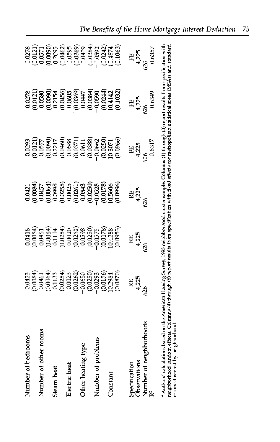| Number of bedrooms                                         |                    |                                                                                                                                                                                                                                                                                                     |                    |                                                                                                                                                                                                                                                                    |                                                                                                                                                                                                                        |                                                                                                                                                                                                       |
|------------------------------------------------------------|--------------------|-----------------------------------------------------------------------------------------------------------------------------------------------------------------------------------------------------------------------------------------------------------------------------------------------------|--------------------|--------------------------------------------------------------------------------------------------------------------------------------------------------------------------------------------------------------------------------------------------------------------|------------------------------------------------------------------------------------------------------------------------------------------------------------------------------------------------------------------------|-------------------------------------------------------------------------------------------------------------------------------------------------------------------------------------------------------|
|                                                            |                    |                                                                                                                                                                                                                                                                                                     |                    |                                                                                                                                                                                                                                                                    |                                                                                                                                                                                                                        |                                                                                                                                                                                                       |
| Number of other room                                       |                    |                                                                                                                                                                                                                                                                                                     |                    |                                                                                                                                                                                                                                                                    |                                                                                                                                                                                                                        |                                                                                                                                                                                                       |
|                                                            |                    |                                                                                                                                                                                                                                                                                                     |                    |                                                                                                                                                                                                                                                                    |                                                                                                                                                                                                                        |                                                                                                                                                                                                       |
| Steam heat                                                 |                    |                                                                                                                                                                                                                                                                                                     |                    |                                                                                                                                                                                                                                                                    |                                                                                                                                                                                                                        |                                                                                                                                                                                                       |
|                                                            |                    |                                                                                                                                                                                                                                                                                                     |                    |                                                                                                                                                                                                                                                                    |                                                                                                                                                                                                                        |                                                                                                                                                                                                       |
| Electric heat                                              |                    |                                                                                                                                                                                                                                                                                                     |                    |                                                                                                                                                                                                                                                                    |                                                                                                                                                                                                                        |                                                                                                                                                                                                       |
|                                                            |                    |                                                                                                                                                                                                                                                                                                     |                    |                                                                                                                                                                                                                                                                    |                                                                                                                                                                                                                        |                                                                                                                                                                                                       |
| Other heating type                                         |                    |                                                                                                                                                                                                                                                                                                     |                    |                                                                                                                                                                                                                                                                    |                                                                                                                                                                                                                        |                                                                                                                                                                                                       |
|                                                            |                    |                                                                                                                                                                                                                                                                                                     |                    |                                                                                                                                                                                                                                                                    |                                                                                                                                                                                                                        |                                                                                                                                                                                                       |
| Number of problems                                         |                    |                                                                                                                                                                                                                                                                                                     |                    |                                                                                                                                                                                                                                                                    |                                                                                                                                                                                                                        |                                                                                                                                                                                                       |
|                                                            |                    |                                                                                                                                                                                                                                                                                                     |                    |                                                                                                                                                                                                                                                                    |                                                                                                                                                                                                                        |                                                                                                                                                                                                       |
| Constant                                                   |                    |                                                                                                                                                                                                                                                                                                     |                    |                                                                                                                                                                                                                                                                    |                                                                                                                                                                                                                        |                                                                                                                                                                                                       |
|                                                            |                    | $\begin{array}{l} 0.418 \\ 0.646 \\ 0.646 \\ 0.646 \\ 0.646 \\ 0.646 \\ 0.646 \\ 0.646 \\ 0.646 \\ 0.646 \\ 0.646 \\ 0.646 \\ 0.646 \\ 0.646 \\ 0.646 \\ 0.646 \\ 0.646 \\ 0.646 \\ 0.646 \\ 0.646 \\ 0.646 \\ 0.646 \\ 0.646 \\ 0.646 \\ 0.646 \\ 0.646 \\ 0.646 \\ 0.646 \\ 0.646 \\ 0.646 \\ 0.$ |                    | $\begin{smallmatrix} 60.0293\\ 0.01211\\ 0.0570\\ 0.00901\\ 0.00091\\ 0.00090\\ 0.00000\\ 0.00000\\ 0.00000\\ 0.00000\\ 0.00000\\ 0.00000\\ 0.00000\\ 0.00000\\ 0.00000\\ 0.00000\\ 0.00000\\ 0.00000\\ 0.00000\\ 0.00000\\ 0.00000\\ 0.00000\\ 0.00000\\ 0.00000$ | $0.0278$<br>$0.01210$<br>$0.0090$<br>$0.0090$<br>$0.0090$<br>$0.0045$<br>$0.0090$<br>$0.00090$<br>$0.0000$<br>$0.0000$<br>$0.0000$<br>$0.0000$<br>$0.0000$<br>$0.0000$<br>$0.0000$<br>$0.0000$<br>$0.0000$<br>$0.0000$ | $0.0278$<br>$0.0121$<br>$0.0571$<br>$0.0696$<br>$0.0696$<br>$0.0696$<br>$0.0696$<br>$0.0696$<br>$0.0696$<br>$0.0696$<br>$0.0696$<br>$0.0696$<br>$0.0696$<br>$0.0674$<br>$0.063$<br>$0.063$<br>$0.063$ |
| Specification                                              |                    |                                                                                                                                                                                                                                                                                                     |                    |                                                                                                                                                                                                                                                                    |                                                                                                                                                                                                                        |                                                                                                                                                                                                       |
| <b>Diservation</b>                                         | RE<br>4,225<br>626 | RE<br>4,225<br>626                                                                                                                                                                                                                                                                                  | RE<br>4,225<br>626 |                                                                                                                                                                                                                                                                    |                                                                                                                                                                                                                        |                                                                                                                                                                                                       |
| Number of neighborhoods                                    |                    |                                                                                                                                                                                                                                                                                                     |                    | $\begin{array}{c} \rm FE \\ 4,225 \\ 526 \\ 0.6317 \end{array}$                                                                                                                                                                                                    | FE<br>4,225<br>626<br>0.6349                                                                                                                                                                                           | FE<br>4,225<br>526<br>0.6357                                                                                                                                                                          |
|                                                            |                    |                                                                                                                                                                                                                                                                                                     |                    |                                                                                                                                                                                                                                                                    |                                                                                                                                                                                                                        |                                                                                                                                                                                                       |
| Authors' calculations based on the American Housing Survey |                    |                                                                                                                                                                                                                                                                                                     |                    | 1993 neighborhood cluster sample. Columns (1) through (3) report results from specification with                                                                                                                                                                   |                                                                                                                                                                                                                        |                                                                                                                                                                                                       |

**o a** =>taf **c IP'S <sup>o</sup> <sup>o</sup>** *a* 01 pie. g O O ia<br>it ິດ<br>ຕ xed c o cati eci a, គ្គ Its art; **E o**  $\begin{matrix} 5 \ 6 \ 1 \ 1 \ 1 \end{matrix}$ s based<br>n effects<br>aghborl andon<br>andon<br>by <sup>re</sup><br>by  $\frac{5}{6}$   $\frac{1}{8}$   $\frac{1}{8}$ thors' c<br>hborho<br>rs cluste  $*$  Au neighborh $*$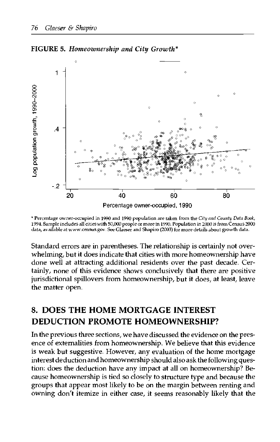

FIGURE 5. *Homeownership and City Growth'*

\* Percentage owner-occupied in 1990 and 1990 population are taken from the *City and County Data Book,* 1994. Sample includes all cities with 50,000 people or more in 1990. Population in 2000 is from Census 2000 data, available at www.census.gov. See Glaeser and Shapiro (2003) for more details about growth data.

Standard errors are in parentheses. The relationship is certainly not overwhelming, but it does indicate that cities with more homeownership have done well at attracting additional residents over the past decade. Certainly, none of this evidence shows conclusively that there are positive jurisdictional spillovers from homeownership, but it does, at least, leave the matter open.

## **8. DOES THE HOME MORTGAGE INTEREST DEDUCTION PROMOTE HOMEOWNERSHIP?**

In the previous three sections, we have discussed the evidence on the presence of externalities from homeownership. We believe that this evidence is weak but suggestive. However, any evaluation of the home mortgage interest deduction and homeownership should also ask the following question: does the deduction have any impact at all on homeownership? Because homeownership is tied so closely to structure type and because the groups that appear most likely to be on the margin between renting and owning don't itemize in either case, it seems reasonably likely that the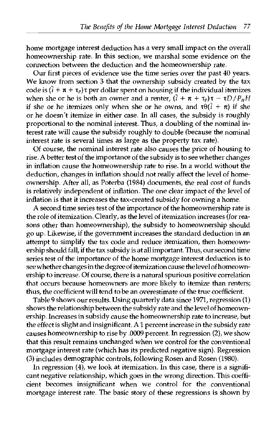home mortgage interest deduction has a very small impact on the overall homeownership rate. In this section, we marshal some evidence on the connection between the deduction and the homeownership rate.

Our first pieces of evidence use the time series over the past 40 years. We know from section 3 that the ownership subsidy created by the tax code is  $(\bar{i} + \pi + \tau)$ *p* per dollar spent on housing if the individual itemizes when she or he is both an owner and a renter,  $(i + \pi + \tau_p)\tau - \tau D/P<sub>H</sub>H$ if she or he itemizes only when she or he owns, and  $\tau \theta(\hat{i} + \pi)$  if she or he doesn't itemize in either case. In all cases, the subsidy is roughly proportional to the nominal interest. Thus, a doubling of the nominal interest rate will cause the subsidy roughly to double (because the nominal interest rate is several times as large as the property tax rate).

Of course, the nominal interest rate also causes the price of housing to rise. A better test of the importance of the subsidy is to see whether changes in inflation cause the homeownership rate to rise. In a world without the deduction, changes in inflation should not really affect the level of homeownership. After all, as Poterba (1984) documents, the real cost of funds is relatively independent of inflation. The one clear impact of the level of inflation is that it increases the tax-created subsidy for owning a home.

A second time series test of the importance of the homeownership rate is the role of itemization. Clearly, as the level of itemization increases (for reasons other than homeownership), the subsidy to homeownership should go up. Likewise, if the government increases the standard deduction in an attempt to simplify the tax code and reduce itemization, then homeownership should fall, if the tax subsidy is at all important. Thus, our second time series test of the importance of the home mortgage interest deduction is to see whether changes in the degree of itemization cause the level of homeownership to increase. Of course, there is a natural spurious positive correlation that occurs because homeowners are more likely to itemize than renters; thus, the coefficient will tend to be an overestimate of the true coefficient.

Table 9 shows our results. Using quarterly data since 1971, regression (1) shows the relationship between the subsidy rate and the level of homeownership. Increases in subsidy cause the homeownership rate to increase, but the effect is slight and insignificant. A1 percent increase in the subsidy rate causes homeownership to rise by .0009 percent. In regression (2), we show that this result remains unchanged when we control for the conventional mortgage interest rate (which has its predicted negative sign). Regression (3) includes demographic controls, following Rosen and Rosen (1980).

In regression (4), we look at itemization. In this case, there is a significant negative relationship, which goes in the wrong direction. This coefficient becomes insignificant when we control for the conventional mortgage interest rate. The basic story of these regressions is shown by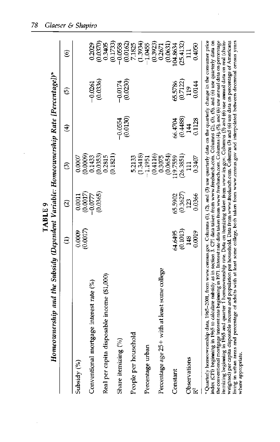|                                                                                                                                                                                                                                                                                                                                                                                                                                                                                                                                                                                                                                                                                                                                                                                                                                                                                                                                                                                                                    |                        | TABLE 9                  |                    |                        |                        |                    |
|--------------------------------------------------------------------------------------------------------------------------------------------------------------------------------------------------------------------------------------------------------------------------------------------------------------------------------------------------------------------------------------------------------------------------------------------------------------------------------------------------------------------------------------------------------------------------------------------------------------------------------------------------------------------------------------------------------------------------------------------------------------------------------------------------------------------------------------------------------------------------------------------------------------------------------------------------------------------------------------------------------------------|------------------------|--------------------------|--------------------|------------------------|------------------------|--------------------|
| Homeownership and the Subsidy (Dependent Variable: Homeownership Rate [Percentage])*                                                                                                                                                                                                                                                                                                                                                                                                                                                                                                                                                                                                                                                                                                                                                                                                                                                                                                                               |                        |                          |                    |                        |                        |                    |
|                                                                                                                                                                                                                                                                                                                                                                                                                                                                                                                                                                                                                                                                                                                                                                                                                                                                                                                                                                                                                    | $\widehat{\texttt{e}}$ | $\widehat{\mathfrak{S}}$ | ම්                 | $\widehat{\mathbf{t}}$ | $\widehat{\mathbf{e}}$ | $\hat{\bullet}$    |
| Subsidy $(%)$                                                                                                                                                                                                                                                                                                                                                                                                                                                                                                                                                                                                                                                                                                                                                                                                                                                                                                                                                                                                      | (0.0017)<br>0.009      | (0.0017)<br>0.0011       | (0.009)<br>0.0007  |                        |                        |                    |
| Conventional mortgage interest rate (%)                                                                                                                                                                                                                                                                                                                                                                                                                                                                                                                                                                                                                                                                                                                                                                                                                                                                                                                                                                            |                        | $-0.0777$                | 0.1433             |                        | $-0.0261$              | 0.2029             |
|                                                                                                                                                                                                                                                                                                                                                                                                                                                                                                                                                                                                                                                                                                                                                                                                                                                                                                                                                                                                                    |                        | (0.0365)                 | (0.0353)           |                        | (0.0336)               | (0.0370)           |
| Real per capita disposable income (\$1,000)                                                                                                                                                                                                                                                                                                                                                                                                                                                                                                                                                                                                                                                                                                                                                                                                                                                                                                                                                                        |                        |                          | (0.1821)<br>0.2815 |                        |                        | (0.1733)<br>0.3405 |
| Share itemizing (%)                                                                                                                                                                                                                                                                                                                                                                                                                                                                                                                                                                                                                                                                                                                                                                                                                                                                                                                                                                                                |                        |                          |                    | $-0.0554$              | $-0.0174$              | $-0.0558$          |
|                                                                                                                                                                                                                                                                                                                                                                                                                                                                                                                                                                                                                                                                                                                                                                                                                                                                                                                                                                                                                    |                        |                          |                    | (0.0130)               | (0.0230)               | (0.0162)           |
| People per household                                                                                                                                                                                                                                                                                                                                                                                                                                                                                                                                                                                                                                                                                                                                                                                                                                                                                                                                                                                               |                        |                          | 5.2133             |                        |                        | 7.1825             |
|                                                                                                                                                                                                                                                                                                                                                                                                                                                                                                                                                                                                                                                                                                                                                                                                                                                                                                                                                                                                                    |                        |                          | (1.3418)           |                        |                        | (1.3934)           |
| Percentage urban                                                                                                                                                                                                                                                                                                                                                                                                                                                                                                                                                                                                                                                                                                                                                                                                                                                                                                                                                                                                   |                        |                          | $-1.1951$          |                        |                        | $-1.0455$          |
|                                                                                                                                                                                                                                                                                                                                                                                                                                                                                                                                                                                                                                                                                                                                                                                                                                                                                                                                                                                                                    |                        |                          | (0.4116)           |                        |                        | (0.3923)           |
| Percentage age 25+ with at least some college                                                                                                                                                                                                                                                                                                                                                                                                                                                                                                                                                                                                                                                                                                                                                                                                                                                                                                                                                                      |                        |                          | 0.3075             |                        |                        | 0.2671             |
|                                                                                                                                                                                                                                                                                                                                                                                                                                                                                                                                                                                                                                                                                                                                                                                                                                                                                                                                                                                                                    |                        |                          | (0.0654)           |                        |                        | (0.0631)           |
| Constant                                                                                                                                                                                                                                                                                                                                                                                                                                                                                                                                                                                                                                                                                                                                                                                                                                                                                                                                                                                                           | 64.6495                | 65.5902                  | 19.7559            | 66.4704                | 65.5786                | 04.8634            |
|                                                                                                                                                                                                                                                                                                                                                                                                                                                                                                                                                                                                                                                                                                                                                                                                                                                                                                                                                                                                                    | (0.1013)               | (0.3627)                 | (26.3851)          | (0.4488)               | (0.7122)               | (25.4132)          |
| Observations                                                                                                                                                                                                                                                                                                                                                                                                                                                                                                                                                                                                                                                                                                                                                                                                                                                                                                                                                                                                       | 148                    | 123                      | 111                | 144                    | 119                    | 111                |
| Ř                                                                                                                                                                                                                                                                                                                                                                                                                                                                                                                                                                                                                                                                                                                                                                                                                                                                                                                                                                                                                  | 0.0019                 | 0.0366                   | 0.3407             | 0.1128                 | 0.0144                 | 0.4050             |
| *Quarterly homeownership data, 1965-2001, from www.census.gov. Columns (1), (2), and (3) use quarterly data on the quarterly change in the consumer price<br>the conventional mortgage interest rate beginning in 1971. Interest rate data taken from www.freelunch.com. Columns (4), (5), and (6) use annual data on percentage<br>index (CPI) beginning in 1965 to calculate subsidy as in section 3. CPI data taken from www.freelunch.com. Columns (2), (5), (5), and (6) use quarterly data on<br>itemizing beginning in 1965 and quarter 1 homeownership rate. Data on itemizing taken from www.irs.gov. Columns (3) and (6) use annual data on real (chain-<br>weighted) per capita disposable income and population per household. Data from www.freelunch.com. Columns (3) and (6) use data on percentage of Americans<br>living in urban areas and percentage of adults with at least some college, both taken from www.census.gov and interpolated between decennial census years<br>where appropriate. |                        |                          |                    |                        |                        |                    |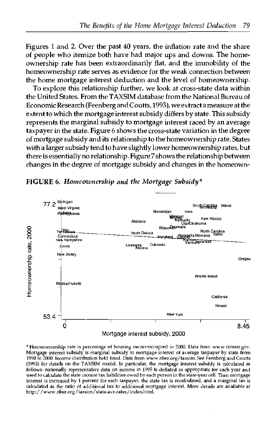Figures 1 and 2. Over the past 40 years, the inflation rate and the share of people who itemize both have had major ups and downs. The homeownership rate has been extraordinarily flat, and the immobility of the homeownership rate serves as evidence for the weak connection between the home mortgage interest deduction and the level of homeownership.

To explore this relationship further, we look at cross-state data within the United States. From the TAXSIM database from the National Bureau of Economic Research (Feenberg and Coutts, 1993), we extract a measure at the extent to which the mortgage interest subsidy differs by state. This subsidy represents the marginal subsidy to mortgage interest raced by an average taxpayer in the state. Figure 6 shows the cross-state variation in the degree of mortgage subsidy and its relationship to the homeownership rate. States with a larger subsidy tend to have slightly lower homeownership rates, but there is essentially no relationship. Figure 7 shows the relationship between changes in the degree of mortgage subsidy and changes in the homeown-



FIGURE 6. *Homeownership and the Mortgage Subsidy\**

\* Homeownership rate is percentage of housing owner-occupied in 2000. Data from www.census.gov. Mortgage interest subsidy is marginal subsidy to mortgage interest of average taxpayer by state from 1990 to 2000. Income distribution held fixed. Data from www.nber.org/taxsim. See Feenberg and Coutts (1993) for details on the TAXSIM model. In particular, the mortgage interest subsidy is calculated as follows: nationally representative data on income in 1995 is deflated as appropriate for each year and used to calculate the state income tax liabilities owed by each person in the state-year cell. Then mortgage interest is increased by 1 percent for each taxpayer, the state tax is recalculated, and a marginal tax is calculated as the ratio of additional tax to additional mortgage interest. More details are available at http: / / www.nber.org / taxsim / state-avr-rates / index.html.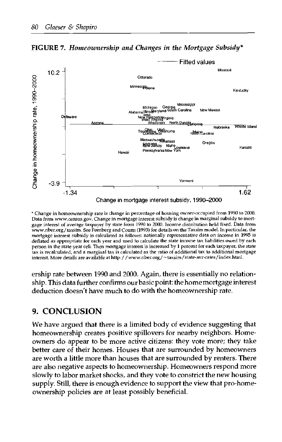

FIGURE 7. *Homeownership and Changes in the Mortgage Subsidy\**

\* Change in homeownership rate is change in percentage of housing owner-occupied from 1990 to 2000. Data from www.census.gov. Change in mortgage interest subsidy is change in marginal subsidy to mortgage interest of average taxpayer by state from 1990 to 2000. Income distribution held fixed. Data from www.nber.org/taxsim. See Feenberg and Coutts (1993) for details on the Taxsim model. In particular, the mortgage interest subsidy is calculated as follows: nationally representative data on income in 1995 is deflated as appropriate for each year and used to calculate the state income tax liabilities owed by each person in the state-year cell. Then mortgage interest is increased by 1 percent for each taxpayer, the state tax is recalculated, and a marginal tax is calculated as the ratio of additional tax to additional mortgage interest. More details are available at http: / / www.nber.org/~taxsim/state-avr-rates/index.html.

ership rate between 1990 and 2000. Again, there is essentially no relationship. This data further confirms our basic point: the home mortgage interest deduction doesn't have much to do with the homeownership rate.

### **9. CONCLUSION**

We have argued that there is a limited body of evidence suggesting that homeownership creates positive spillovers for nearby neighbors. Homeowners do appear to be more active citizens: they vote more; they take better care of their homes. Houses that are surrounded by homeowners are worth a little more than houses that are surrounded by renters. There are also negative aspects to homeownership. Homeowners respond more slowly to labor market shocks, and they vote to constrict the new housing supply. Still, there is enough evidence to support the view that pro-homeownership policies are at least possibly beneficial.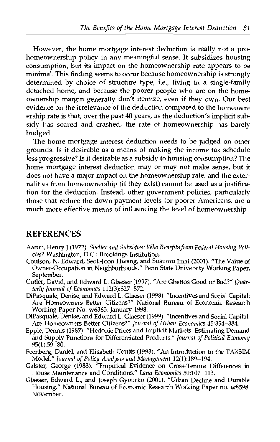However, the home mortgage interest deduction is really not a prohomeownership policy in any meaningful sense. It subsidizes housing consumption, but its impact on the homeownership rate appears to be minimal. This finding seems to occur because homeownership is strongly determined by choice of structure type, i.e., living in a single-family detached home, and because the poorer people who are on the homeownership margin generally don't itemize, even if they own. Our best evidence on the irrelevance of the deduction compared to the homeownership rate is that, over the past 40 years, as the deduction's implicit subsidy has soared and crashed, the rate of homeownership has barely budged.

The home mortgage interest deduction needs to be judged on other grounds. Is it desirable as a means of making the income tax schedule less progressive? Is it desirable as a subsidy to housing consumption? The home mortgage interest deduction may or may not make sense, but it does not have a major impact on the homeownership rate, and the externalities from homeownership (if they exist) cannot be used as a justification for the deduction. Instead, other government policies, particularly those that reduce the down-payment levels for poorer Americans, are a much more effective means of influencing the level of homeownership.

#### **REFERENCES**

- Aaron, Henry J (1972). *Shelter and Subsidies: Who Benefits from Federal Housing Policies?* Washington, D.C.: Brookings Institution.
- Coulson, N. Edward, Seok-Joon Hwang, and Susumu Imai (2001). "The Value of Owner-Occupation in Neighborhoods." Perm State University Working Paper, September.
- Cutler, David, and Edward L. Glaeser (1997). "Are Ghettos Good or Bad?" *Quarterly Journal of Economics* 112(3):827-872.
- DiPasquale, Denise, and Edward L. Glaeser (1998). "Incentives and Social Capital: Are Homeowners Better Citizens?" National Bureau of Economic Research Working Paper No. w6363. January 1998.
- DiPasquale, Denise, and Edward L. Glaeser (1999). "Incentives and Social Capital: Are Homeowners Better Citizens?" *Journal of Urban Economics* 45:354-384.
- Epple, Dennis (1987). "Hedonic Prices and Implicit Markets: Estimating Demand and Supply Functions for Differentiated Products." *Journal of Political Economy* 95(l):59-80.
- Feenberg, Daniel, and Elisabeth Coutts (1993). "An Introduction to the TAXSIM Model." *Journal of Policy Analysis and Management* 12(1):189-194.
- Galster, George (1983). "Empirical Evidence on Cross-Tenure Differences in House Maintenance and Conditions." *Land Economics* 59:107-113.
- Glaeser, Edward L., and loseph Gyourko (2001). "Urban Decline and Durable Housing." National Bureau of Economic Research Working Paper no. w8598. November.